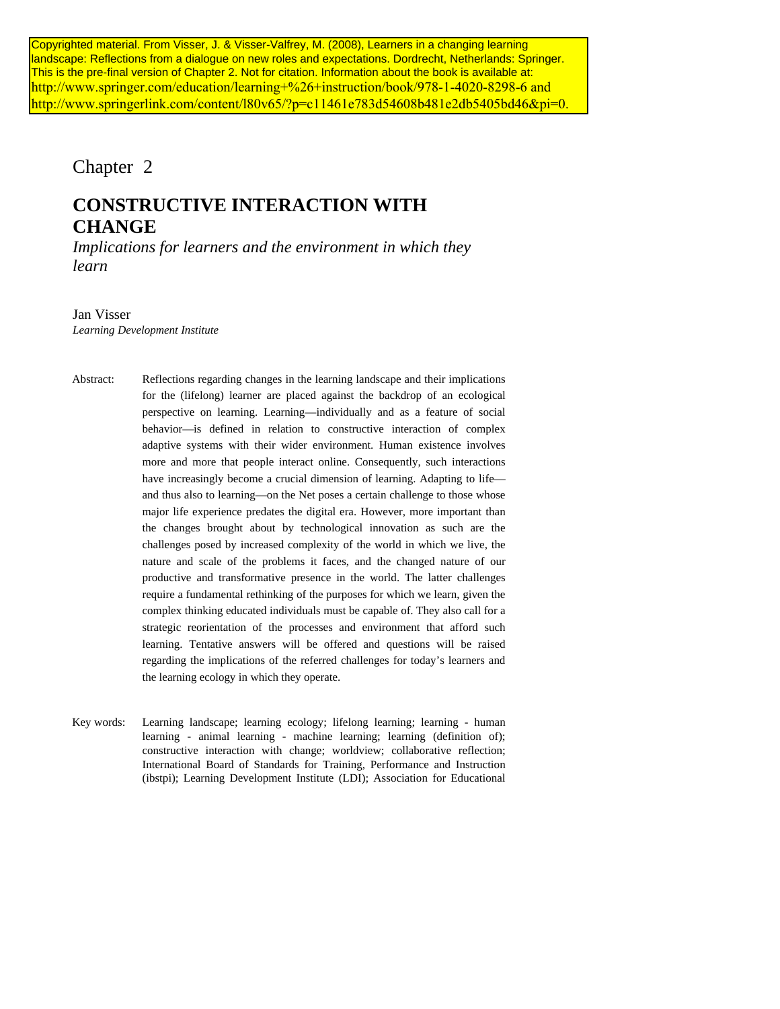Copyrighted material. From Visser, J. & Visser-Valfrey, M. (2008), Learners in a changing learning landscape: Reflections from a dialogue on new roles and expectations. Dordrecht, Netherlands: Springer. This is the pre-final version of Chapter 2. Not for citation. Information about the book is available at: http://www.springer.com/education/learning+%26+instruction/book/978-1-4020-8298-6 and http://www.springerlink.com/content/l80v65/?p=c11461e783d54608b481e2db5405bd46&pi=0.

# Chapter 2

# **CONSTRUCTIVE INTERACTION WITH CHANGE**

*Implications for learners and the environment in which they learn* 

#### Jan Visser

*Learning Development Institute* 

- Abstract: Reflections regarding changes in the learning landscape and their implications for the (lifelong) learner are placed against the backdrop of an ecological perspective on learning. Learning—individually and as a feature of social behavior—is defined in relation to constructive interaction of complex adaptive systems with their wider environment. Human existence involves more and more that people interact online. Consequently, such interactions have increasingly become a crucial dimension of learning. Adapting to life and thus also to learning—on the Net poses a certain challenge to those whose major life experience predates the digital era. However, more important than the changes brought about by technological innovation as such are the challenges posed by increased complexity of the world in which we live, the nature and scale of the problems it faces, and the changed nature of our productive and transformative presence in the world. The latter challenges require a fundamental rethinking of the purposes for which we learn, given the complex thinking educated individuals must be capable of. They also call for a strategic reorientation of the processes and environment that afford such learning. Tentative answers will be offered and questions will be raised regarding the implications of the referred challenges for today's learners and the learning ecology in which they operate.
- Key words: Learning landscape; learning ecology; lifelong learning; learning human learning - animal learning - machine learning; learning (definition of); constructive interaction with change; worldview; collaborative reflection; International Board of Standards for Training, Performance and Instruction (ibstpi); Learning Development Institute (LDI); Association for Educational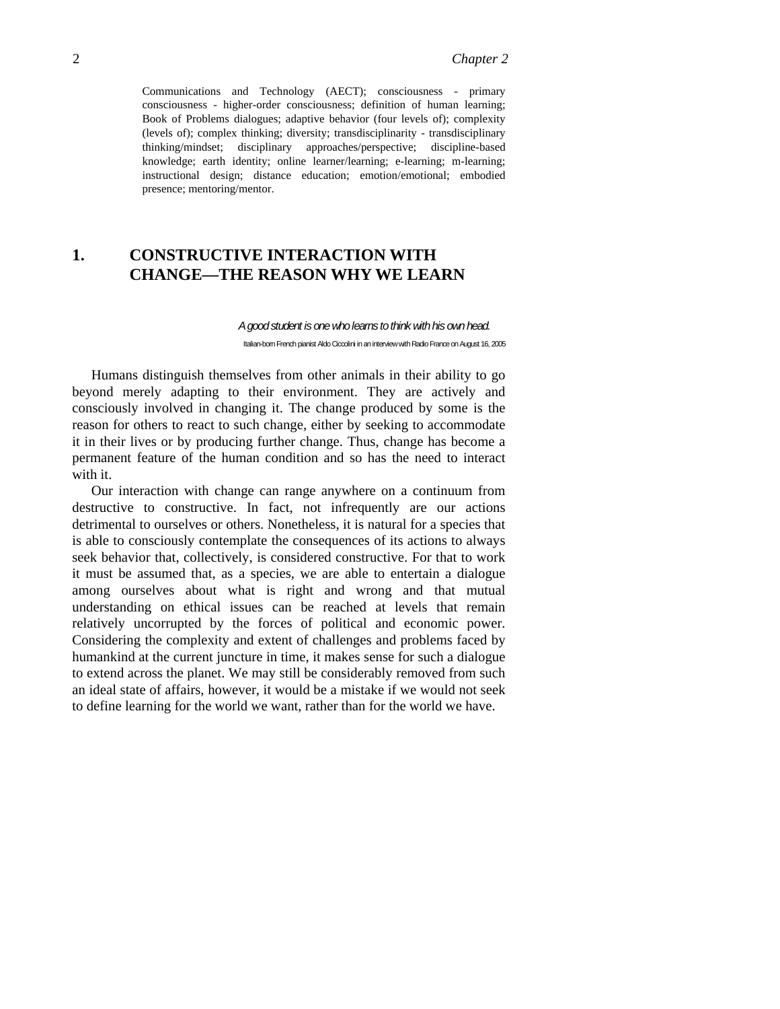Communications and Technology (AECT); consciousness - primary consciousness - higher-order consciousness; definition of human learning; Book of Problems dialogues; adaptive behavior (four levels of); complexity (levels of); complex thinking; diversity; transdisciplinarity - transdisciplinary thinking/mindset; disciplinary approaches/perspective; discipline-based knowledge; earth identity; online learner/learning; e-learning; m-learning; instructional design; distance education; emotion/emotional; embodied presence; mentoring/mentor.

# **1. CONSTRUCTIVE INTERACTION WITH CHANGE—THE REASON WHY WE LEARN**

*A good student is one who learns to think with his own head.*  Italian-born French pianist Aldo Ciccolini in an interview with Radio France on August 16, 2005

Humans distinguish themselves from other animals in their ability to go beyond merely adapting to their environment. They are actively and consciously involved in changing it. The change produced by some is the reason for others to react to such change, either by seeking to accommodate it in their lives or by producing further change. Thus, change has become a permanent feature of the human condition and so has the need to interact with it.

Our interaction with change can range anywhere on a continuum from destructive to constructive. In fact, not infrequently are our actions detrimental to ourselves or others. Nonetheless, it is natural for a species that is able to consciously contemplate the consequences of its actions to always seek behavior that, collectively, is considered constructive. For that to work it must be assumed that, as a species, we are able to entertain a dialogue among ourselves about what is right and wrong and that mutual understanding on ethical issues can be reached at levels that remain relatively uncorrupted by the forces of political and economic power. Considering the complexity and extent of challenges and problems faced by humankind at the current juncture in time, it makes sense for such a dialogue to extend across the planet. We may still be considerably removed from such an ideal state of affairs, however, it would be a mistake if we would not seek to define learning for the world we want, rather than for the world we have.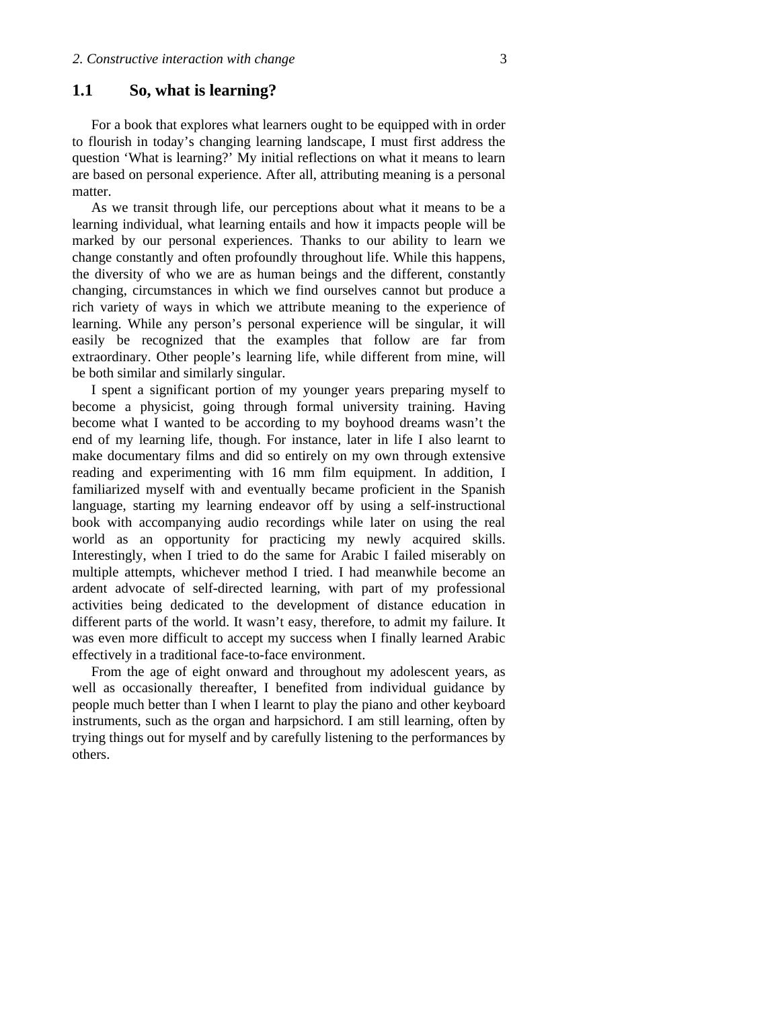### **1.1 So, what is learning?**

For a book that explores what learners ought to be equipped with in order to flourish in today's changing learning landscape, I must first address the question 'What is learning?' My initial reflections on what it means to learn are based on personal experience. After all, attributing meaning is a personal matter.

As we transit through life, our perceptions about what it means to be a learning individual, what learning entails and how it impacts people will be marked by our personal experiences. Thanks to our ability to learn we change constantly and often profoundly throughout life. While this happens, the diversity of who we are as human beings and the different, constantly changing, circumstances in which we find ourselves cannot but produce a rich variety of ways in which we attribute meaning to the experience of learning. While any person's personal experience will be singular, it will easily be recognized that the examples that follow are far from extraordinary. Other people's learning life, while different from mine, will be both similar and similarly singular.

I spent a significant portion of my younger years preparing myself to become a physicist, going through formal university training. Having become what I wanted to be according to my boyhood dreams wasn't the end of my learning life, though. For instance, later in life I also learnt to make documentary films and did so entirely on my own through extensive reading and experimenting with 16 mm film equipment. In addition, I familiarized myself with and eventually became proficient in the Spanish language, starting my learning endeavor off by using a self-instructional book with accompanying audio recordings while later on using the real world as an opportunity for practicing my newly acquired skills. Interestingly, when I tried to do the same for Arabic I failed miserably on multiple attempts, whichever method I tried. I had meanwhile become an ardent advocate of self-directed learning, with part of my professional activities being dedicated to the development of distance education in different parts of the world. It wasn't easy, therefore, to admit my failure. It was even more difficult to accept my success when I finally learned Arabic effectively in a traditional face-to-face environment.

From the age of eight onward and throughout my adolescent years, as well as occasionally thereafter, I benefited from individual guidance by people much better than I when I learnt to play the piano and other keyboard instruments, such as the organ and harpsichord. I am still learning, often by trying things out for myself and by carefully listening to the performances by others.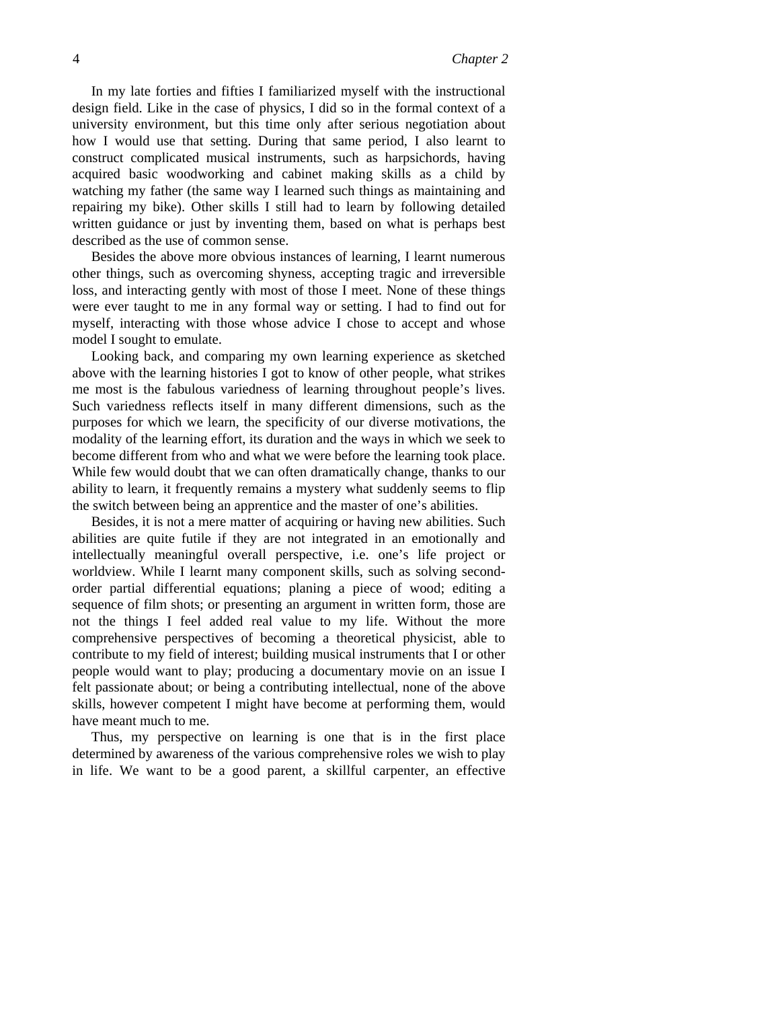In my late forties and fifties I familiarized myself with the instructional design field. Like in the case of physics, I did so in the formal context of a university environment, but this time only after serious negotiation about how I would use that setting. During that same period, I also learnt to construct complicated musical instruments, such as harpsichords, having acquired basic woodworking and cabinet making skills as a child by watching my father (the same way I learned such things as maintaining and repairing my bike). Other skills I still had to learn by following detailed written guidance or just by inventing them, based on what is perhaps best described as the use of common sense.

Besides the above more obvious instances of learning, I learnt numerous other things, such as overcoming shyness, accepting tragic and irreversible loss, and interacting gently with most of those I meet. None of these things were ever taught to me in any formal way or setting. I had to find out for myself, interacting with those whose advice I chose to accept and whose model I sought to emulate.

Looking back, and comparing my own learning experience as sketched above with the learning histories I got to know of other people, what strikes me most is the fabulous variedness of learning throughout people's lives. Such variedness reflects itself in many different dimensions, such as the purposes for which we learn, the specificity of our diverse motivations, the modality of the learning effort, its duration and the ways in which we seek to become different from who and what we were before the learning took place. While few would doubt that we can often dramatically change, thanks to our ability to learn, it frequently remains a mystery what suddenly seems to flip the switch between being an apprentice and the master of one's abilities.

Besides, it is not a mere matter of acquiring or having new abilities. Such abilities are quite futile if they are not integrated in an emotionally and intellectually meaningful overall perspective, i.e. one's life project or worldview. While I learnt many component skills, such as solving secondorder partial differential equations; planing a piece of wood; editing a sequence of film shots; or presenting an argument in written form, those are not the things I feel added real value to my life. Without the more comprehensive perspectives of becoming a theoretical physicist, able to contribute to my field of interest; building musical instruments that I or other people would want to play; producing a documentary movie on an issue I felt passionate about; or being a contributing intellectual, none of the above skills, however competent I might have become at performing them, would have meant much to me.

Thus, my perspective on learning is one that is in the first place determined by awareness of the various comprehensive roles we wish to play in life. We want to be a good parent, a skillful carpenter, an effective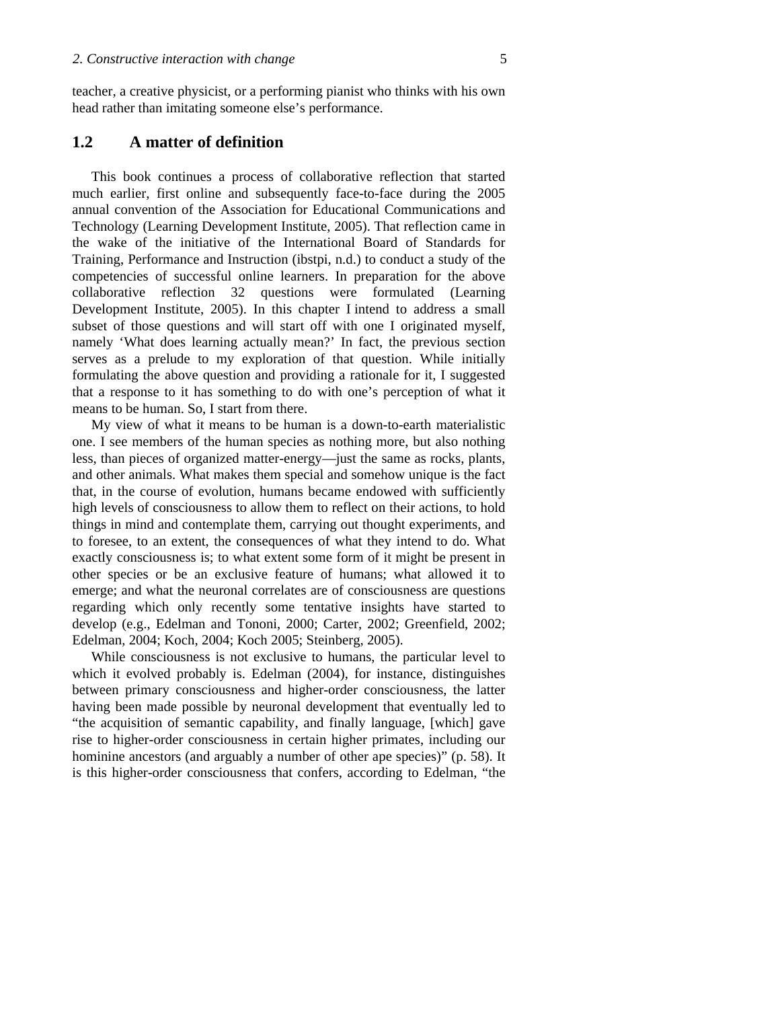teacher, a creative physicist, or a performing pianist who thinks with his own head rather than imitating someone else's performance.

### **1.2 A matter of definition**

This book continues a process of collaborative reflection that started much earlier, first online and subsequently face-to-face during the 2005 annual convention of the Association for Educational Communications and Technology (Learning Development Institute, 2005). That reflection came in the wake of the initiative of the International Board of Standards for Training, Performance and Instruction (ibstpi, n.d.) to conduct a study of the competencies of successful online learners. In preparation for the above collaborative reflection 32 questions were formulated (Learning Development Institute, 2005). In this chapter I intend to address a small subset of those questions and will start off with one I originated myself, namely 'What does learning actually mean?' In fact, the previous section serves as a prelude to my exploration of that question. While initially formulating the above question and providing a rationale for it, I suggested that a response to it has something to do with one's perception of what it means to be human. So, I start from there.

My view of what it means to be human is a down-to-earth materialistic one. I see members of the human species as nothing more, but also nothing less, than pieces of organized matter-energy—just the same as rocks, plants, and other animals. What makes them special and somehow unique is the fact that, in the course of evolution, humans became endowed with sufficiently high levels of consciousness to allow them to reflect on their actions, to hold things in mind and contemplate them, carrying out thought experiments, and to foresee, to an extent, the consequences of what they intend to do. What exactly consciousness is; to what extent some form of it might be present in other species or be an exclusive feature of humans; what allowed it to emerge; and what the neuronal correlates are of consciousness are questions regarding which only recently some tentative insights have started to develop (e.g., Edelman and Tononi, 2000; Carter, 2002; Greenfield, 2002; Edelman, 2004; Koch, 2004; Koch 2005; Steinberg, 2005).

While consciousness is not exclusive to humans, the particular level to which it evolved probably is. Edelman (2004), for instance, distinguishes between primary consciousness and higher-order consciousness, the latter having been made possible by neuronal development that eventually led to "the acquisition of semantic capability, and finally language, [which] gave rise to higher-order consciousness in certain higher primates, including our hominine ancestors (and arguably a number of other ape species)" (p. 58). It is this higher-order consciousness that confers, according to Edelman, "the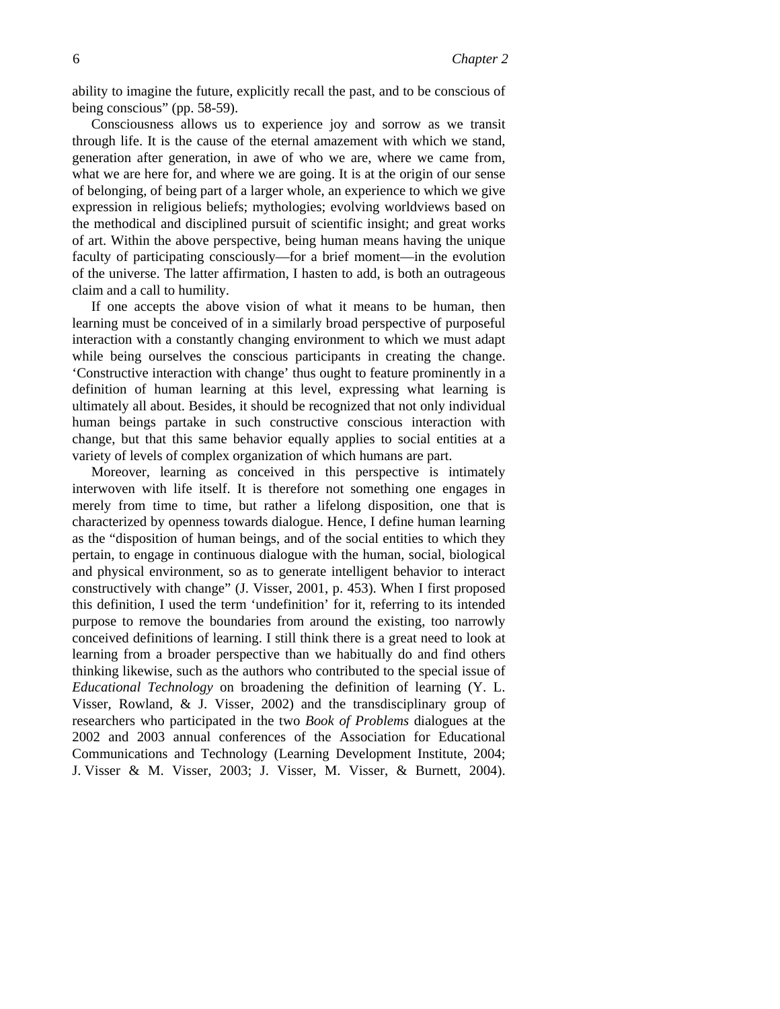ability to imagine the future, explicitly recall the past, and to be conscious of being conscious" (pp. 58-59).

Consciousness allows us to experience joy and sorrow as we transit through life. It is the cause of the eternal amazement with which we stand, generation after generation, in awe of who we are, where we came from, what we are here for, and where we are going. It is at the origin of our sense of belonging, of being part of a larger whole, an experience to which we give expression in religious beliefs; mythologies; evolving worldviews based on the methodical and disciplined pursuit of scientific insight; and great works of art. Within the above perspective, being human means having the unique faculty of participating consciously—for a brief moment—in the evolution of the universe. The latter affirmation, I hasten to add, is both an outrageous claim and a call to humility.

If one accepts the above vision of what it means to be human, then learning must be conceived of in a similarly broad perspective of purposeful interaction with a constantly changing environment to which we must adapt while being ourselves the conscious participants in creating the change. 'Constructive interaction with change' thus ought to feature prominently in a definition of human learning at this level, expressing what learning is ultimately all about. Besides, it should be recognized that not only individual human beings partake in such constructive conscious interaction with change, but that this same behavior equally applies to social entities at a variety of levels of complex organization of which humans are part.

Moreover, learning as conceived in this perspective is intimately interwoven with life itself. It is therefore not something one engages in merely from time to time, but rather a lifelong disposition, one that is characterized by openness towards dialogue. Hence, I define human learning as the "disposition of human beings, and of the social entities to which they pertain, to engage in continuous dialogue with the human, social, biological and physical environment, so as to generate intelligent behavior to interact constructively with change" (J. Visser, 2001, p. 453). When I first proposed this definition, I used the term 'undefinition' for it, referring to its intended purpose to remove the boundaries from around the existing, too narrowly conceived definitions of learning. I still think there is a great need to look at learning from a broader perspective than we habitually do and find others thinking likewise, such as the authors who contributed to the special issue of *Educational Technology* on broadening the definition of learning (Y. L. Visser, Rowland, & J. Visser, 2002) and the transdisciplinary group of researchers who participated in the two *Book of Problems* dialogues at the 2002 and 2003 annual conferences of the Association for Educational Communications and Technology (Learning Development Institute, 2004; J. Visser & M. Visser, 2003; J. Visser, M. Visser, & Burnett, 2004).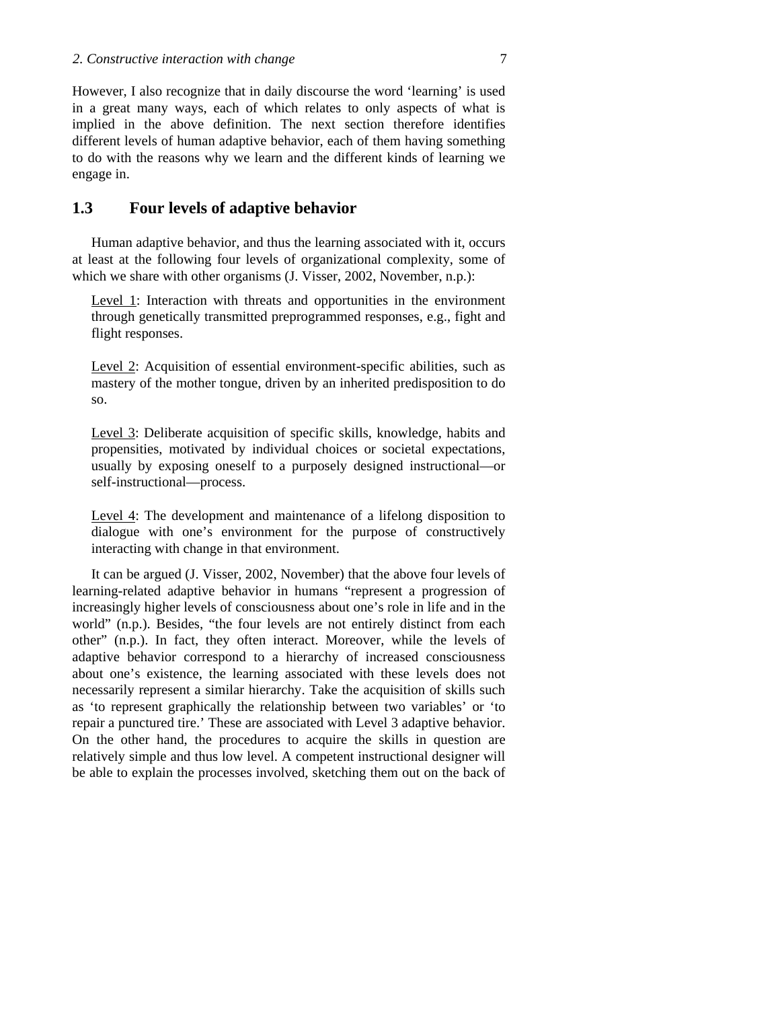However, I also recognize that in daily discourse the word 'learning' is used in a great many ways, each of which relates to only aspects of what is implied in the above definition. The next section therefore identifies different levels of human adaptive behavior, each of them having something to do with the reasons why we learn and the different kinds of learning we engage in.

# **1.3 Four levels of adaptive behavior**

Human adaptive behavior, and thus the learning associated with it, occurs at least at the following four levels of organizational complexity, some of which we share with other organisms (J. Visser, 2002, November, n.p.):

Level 1: Interaction with threats and opportunities in the environment through genetically transmitted preprogrammed responses, e.g., fight and flight responses.

Level 2: Acquisition of essential environment-specific abilities, such as mastery of the mother tongue, driven by an inherited predisposition to do so.

Level 3: Deliberate acquisition of specific skills, knowledge, habits and propensities, motivated by individual choices or societal expectations, usually by exposing oneself to a purposely designed instructional—or self-instructional—process.

Level 4: The development and maintenance of a lifelong disposition to dialogue with one's environment for the purpose of constructively interacting with change in that environment.

It can be argued (J. Visser, 2002, November) that the above four levels of learning-related adaptive behavior in humans "represent a progression of increasingly higher levels of consciousness about one's role in life and in the world" (n.p.). Besides, "the four levels are not entirely distinct from each other" (n.p.). In fact, they often interact. Moreover, while the levels of adaptive behavior correspond to a hierarchy of increased consciousness about one's existence, the learning associated with these levels does not necessarily represent a similar hierarchy. Take the acquisition of skills such as 'to represent graphically the relationship between two variables' or 'to repair a punctured tire.' These are associated with Level 3 adaptive behavior. On the other hand, the procedures to acquire the skills in question are relatively simple and thus low level. A competent instructional designer will be able to explain the processes involved, sketching them out on the back of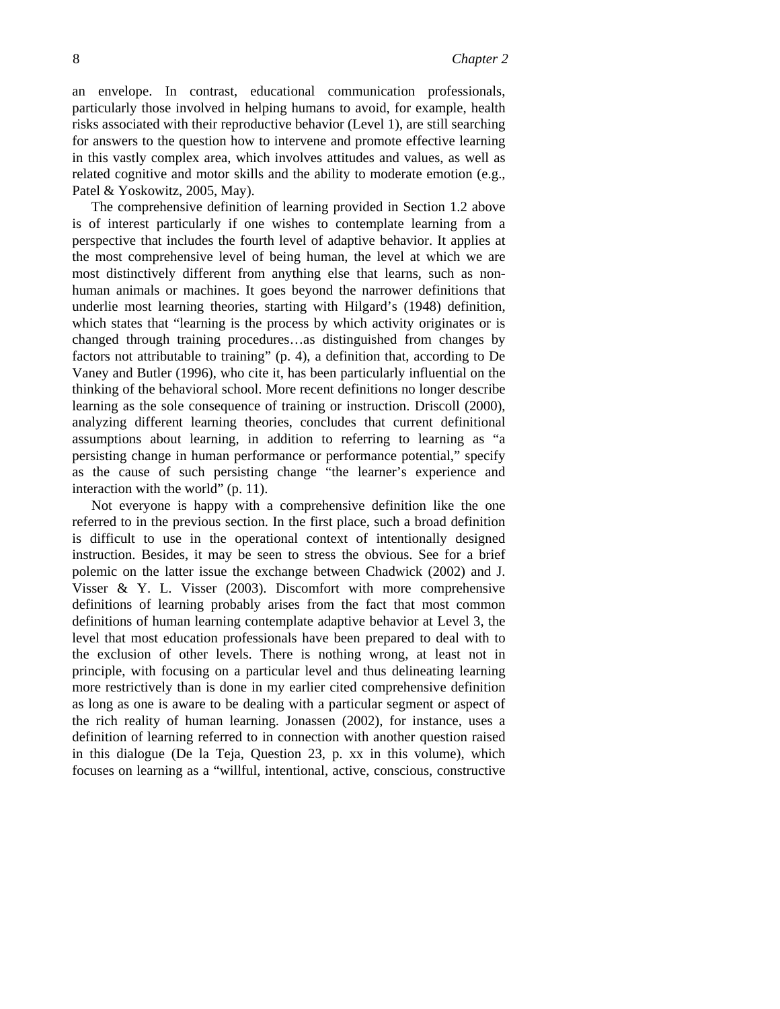an envelope. In contrast, educational communication professionals, particularly those involved in helping humans to avoid, for example, health risks associated with their reproductive behavior (Level 1), are still searching for answers to the question how to intervene and promote effective learning in this vastly complex area, which involves attitudes and values, as well as related cognitive and motor skills and the ability to moderate emotion (e.g., Patel & Yoskowitz, 2005, May).

The comprehensive definition of learning provided in Section 1.2 above is of interest particularly if one wishes to contemplate learning from a perspective that includes the fourth level of adaptive behavior. It applies at the most comprehensive level of being human, the level at which we are most distinctively different from anything else that learns, such as nonhuman animals or machines. It goes beyond the narrower definitions that underlie most learning theories, starting with Hilgard's (1948) definition, which states that "learning is the process by which activity originates or is changed through training procedures…as distinguished from changes by factors not attributable to training" (p. 4), a definition that, according to De Vaney and Butler (1996), who cite it, has been particularly influential on the thinking of the behavioral school. More recent definitions no longer describe learning as the sole consequence of training or instruction. Driscoll (2000), analyzing different learning theories, concludes that current definitional assumptions about learning, in addition to referring to learning as "a persisting change in human performance or performance potential," specify as the cause of such persisting change "the learner's experience and interaction with the world" (p. 11).

Not everyone is happy with a comprehensive definition like the one referred to in the previous section. In the first place, such a broad definition is difficult to use in the operational context of intentionally designed instruction. Besides, it may be seen to stress the obvious. See for a brief polemic on the latter issue the exchange between Chadwick (2002) and J. Visser & Y. L. Visser (2003). Discomfort with more comprehensive definitions of learning probably arises from the fact that most common definitions of human learning contemplate adaptive behavior at Level 3, the level that most education professionals have been prepared to deal with to the exclusion of other levels. There is nothing wrong, at least not in principle, with focusing on a particular level and thus delineating learning more restrictively than is done in my earlier cited comprehensive definition as long as one is aware to be dealing with a particular segment or aspect of the rich reality of human learning. Jonassen (2002), for instance, uses a definition of learning referred to in connection with another question raised in this dialogue (De la Teja, Question 23, p. xx in this volume), which focuses on learning as a "willful, intentional, active, conscious, constructive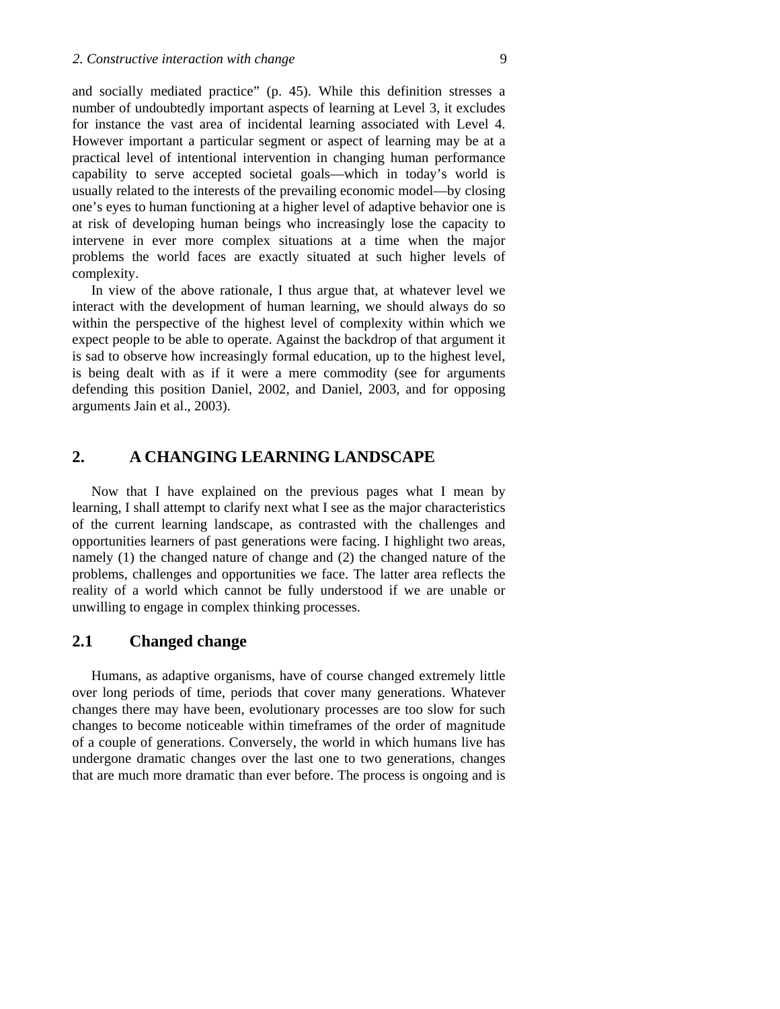and socially mediated practice" (p. 45). While this definition stresses a number of undoubtedly important aspects of learning at Level 3, it excludes for instance the vast area of incidental learning associated with Level 4. However important a particular segment or aspect of learning may be at a practical level of intentional intervention in changing human performance capability to serve accepted societal goals—which in today's world is usually related to the interests of the prevailing economic model—by closing one's eyes to human functioning at a higher level of adaptive behavior one is at risk of developing human beings who increasingly lose the capacity to intervene in ever more complex situations at a time when the major problems the world faces are exactly situated at such higher levels of complexity.

In view of the above rationale, I thus argue that, at whatever level we interact with the development of human learning, we should always do so within the perspective of the highest level of complexity within which we expect people to be able to operate. Against the backdrop of that argument it is sad to observe how increasingly formal education, up to the highest level, is being dealt with as if it were a mere commodity (see for arguments defending this position Daniel, 2002, and Daniel, 2003, and for opposing arguments Jain et al., 2003).

## **2. A CHANGING LEARNING LANDSCAPE**

Now that I have explained on the previous pages what I mean by learning, I shall attempt to clarify next what I see as the major characteristics of the current learning landscape, as contrasted with the challenges and opportunities learners of past generations were facing. I highlight two areas, namely (1) the changed nature of change and (2) the changed nature of the problems, challenges and opportunities we face. The latter area reflects the reality of a world which cannot be fully understood if we are unable or unwilling to engage in complex thinking processes.

# **2.1 Changed change**

Humans, as adaptive organisms, have of course changed extremely little over long periods of time, periods that cover many generations. Whatever changes there may have been, evolutionary processes are too slow for such changes to become noticeable within timeframes of the order of magnitude of a couple of generations. Conversely, the world in which humans live has undergone dramatic changes over the last one to two generations, changes that are much more dramatic than ever before. The process is ongoing and is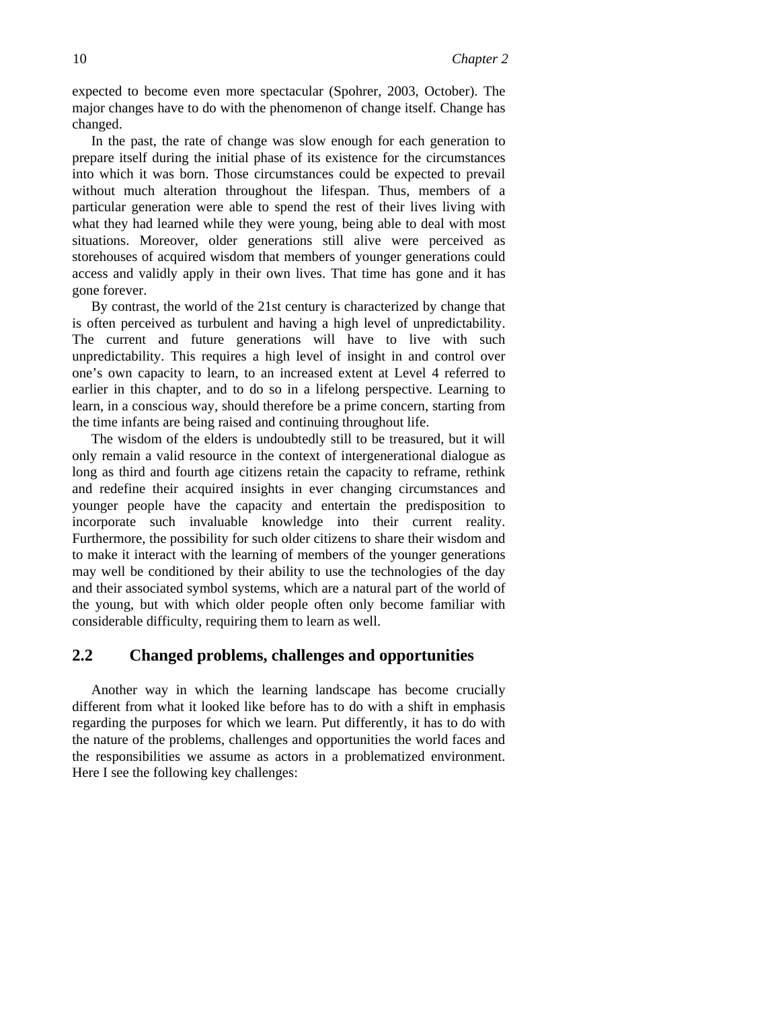expected to become even more spectacular (Spohrer, 2003, October). The major changes have to do with the phenomenon of change itself. Change has changed.

In the past, the rate of change was slow enough for each generation to prepare itself during the initial phase of its existence for the circumstances into which it was born. Those circumstances could be expected to prevail without much alteration throughout the lifespan. Thus, members of a particular generation were able to spend the rest of their lives living with what they had learned while they were young, being able to deal with most situations. Moreover, older generations still alive were perceived as storehouses of acquired wisdom that members of younger generations could access and validly apply in their own lives. That time has gone and it has gone forever.

By contrast, the world of the 21st century is characterized by change that is often perceived as turbulent and having a high level of unpredictability. The current and future generations will have to live with such unpredictability. This requires a high level of insight in and control over one's own capacity to learn, to an increased extent at Level 4 referred to earlier in this chapter, and to do so in a lifelong perspective. Learning to learn, in a conscious way, should therefore be a prime concern, starting from the time infants are being raised and continuing throughout life.

The wisdom of the elders is undoubtedly still to be treasured, but it will only remain a valid resource in the context of intergenerational dialogue as long as third and fourth age citizens retain the capacity to reframe, rethink and redefine their acquired insights in ever changing circumstances and younger people have the capacity and entertain the predisposition to incorporate such invaluable knowledge into their current reality. Furthermore, the possibility for such older citizens to share their wisdom and to make it interact with the learning of members of the younger generations may well be conditioned by their ability to use the technologies of the day and their associated symbol systems, which are a natural part of the world of the young, but with which older people often only become familiar with considerable difficulty, requiring them to learn as well.

# **2.2 Changed problems, challenges and opportunities**

Another way in which the learning landscape has become crucially different from what it looked like before has to do with a shift in emphasis regarding the purposes for which we learn. Put differently, it has to do with the nature of the problems, challenges and opportunities the world faces and the responsibilities we assume as actors in a problematized environment. Here I see the following key challenges: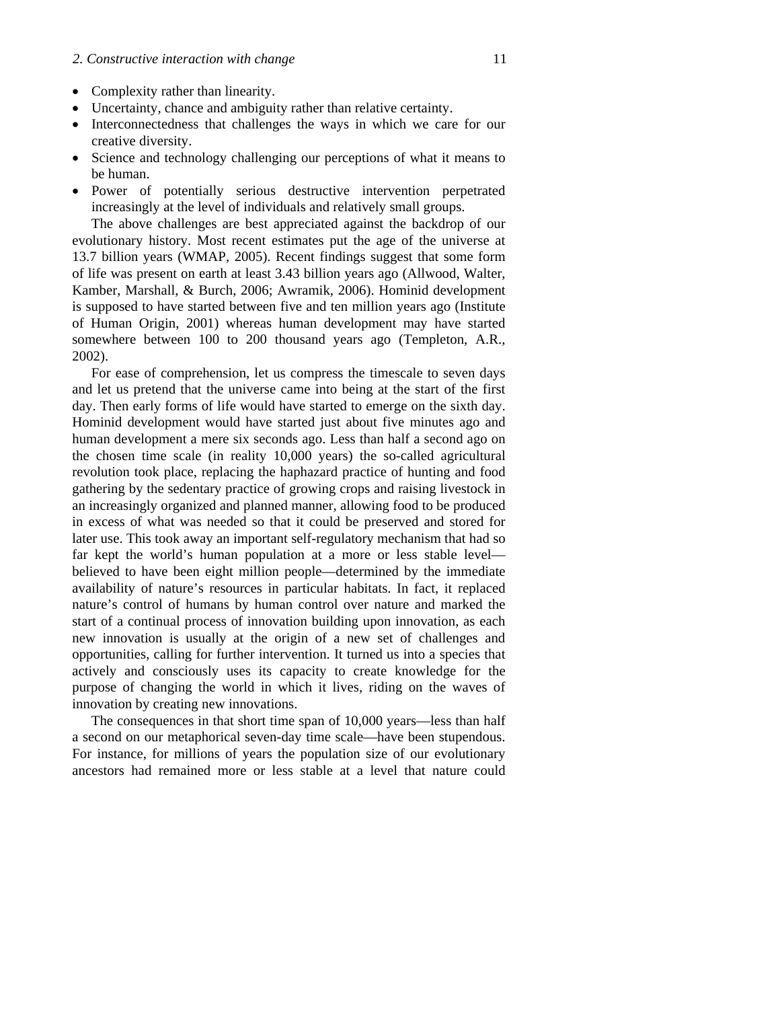- Complexity rather than linearity.
- Uncertainty, chance and ambiguity rather than relative certainty.
- Interconnectedness that challenges the ways in which we care for our creative diversity.
- Science and technology challenging our perceptions of what it means to be human.
- Power of potentially serious destructive intervention perpetrated increasingly at the level of individuals and relatively small groups.

The above challenges are best appreciated against the backdrop of our evolutionary history. Most recent estimates put the age of the universe at 13.7 billion years (WMAP, 2005). Recent findings suggest that some form of life was present on earth at least 3.43 billion years ago (Allwood, Walter, Kamber, Marshall, & Burch, 2006; Awramik, 2006). Hominid development is supposed to have started between five and ten million years ago (Institute of Human Origin, 2001) whereas human development may have started somewhere between 100 to 200 thousand years ago (Templeton, A.R., 2002).

For ease of comprehension, let us compress the timescale to seven days and let us pretend that the universe came into being at the start of the first day. Then early forms of life would have started to emerge on the sixth day. Hominid development would have started just about five minutes ago and human development a mere six seconds ago. Less than half a second ago on the chosen time scale (in reality 10,000 years) the so-called agricultural revolution took place, replacing the haphazard practice of hunting and food gathering by the sedentary practice of growing crops and raising livestock in an increasingly organized and planned manner, allowing food to be produced in excess of what was needed so that it could be preserved and stored for later use. This took away an important self-regulatory mechanism that had so far kept the world's human population at a more or less stable level believed to have been eight million people—determined by the immediate availability of nature's resources in particular habitats. In fact, it replaced nature's control of humans by human control over nature and marked the start of a continual process of innovation building upon innovation, as each new innovation is usually at the origin of a new set of challenges and opportunities, calling for further intervention. It turned us into a species that actively and consciously uses its capacity to create knowledge for the purpose of changing the world in which it lives, riding on the waves of innovation by creating new innovations.

The consequences in that short time span of 10,000 years—less than half a second on our metaphorical seven-day time scale—have been stupendous. For instance, for millions of years the population size of our evolutionary ancestors had remained more or less stable at a level that nature could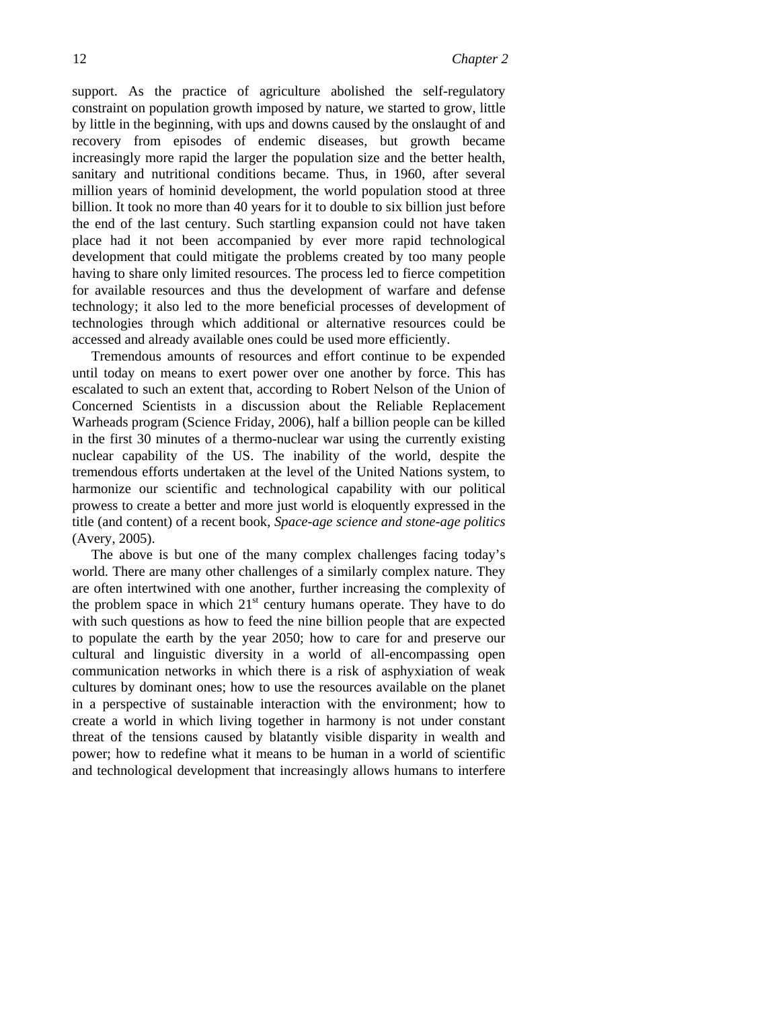support. As the practice of agriculture abolished the self-regulatory constraint on population growth imposed by nature, we started to grow, little by little in the beginning, with ups and downs caused by the onslaught of and recovery from episodes of endemic diseases, but growth became increasingly more rapid the larger the population size and the better health, sanitary and nutritional conditions became. Thus, in 1960, after several million years of hominid development, the world population stood at three billion. It took no more than 40 years for it to double to six billion just before the end of the last century. Such startling expansion could not have taken place had it not been accompanied by ever more rapid technological development that could mitigate the problems created by too many people having to share only limited resources. The process led to fierce competition for available resources and thus the development of warfare and defense technology; it also led to the more beneficial processes of development of technologies through which additional or alternative resources could be accessed and already available ones could be used more efficiently.

Tremendous amounts of resources and effort continue to be expended until today on means to exert power over one another by force. This has escalated to such an extent that, according to Robert Nelson of the Union of Concerned Scientists in a discussion about the Reliable Replacement Warheads program (Science Friday, 2006), half a billion people can be killed in the first 30 minutes of a thermo-nuclear war using the currently existing nuclear capability of the US. The inability of the world, despite the tremendous efforts undertaken at the level of the United Nations system, to harmonize our scientific and technological capability with our political prowess to create a better and more just world is eloquently expressed in the title (and content) of a recent book, *Space-age science and stone-age politics* (Avery, 2005).

The above is but one of the many complex challenges facing today's world. There are many other challenges of a similarly complex nature. They are often intertwined with one another, further increasing the complexity of the problem space in which  $21<sup>st</sup>$  century humans operate. They have to do with such questions as how to feed the nine billion people that are expected to populate the earth by the year 2050; how to care for and preserve our cultural and linguistic diversity in a world of all-encompassing open communication networks in which there is a risk of asphyxiation of weak cultures by dominant ones; how to use the resources available on the planet in a perspective of sustainable interaction with the environment; how to create a world in which living together in harmony is not under constant threat of the tensions caused by blatantly visible disparity in wealth and power; how to redefine what it means to be human in a world of scientific and technological development that increasingly allows humans to interfere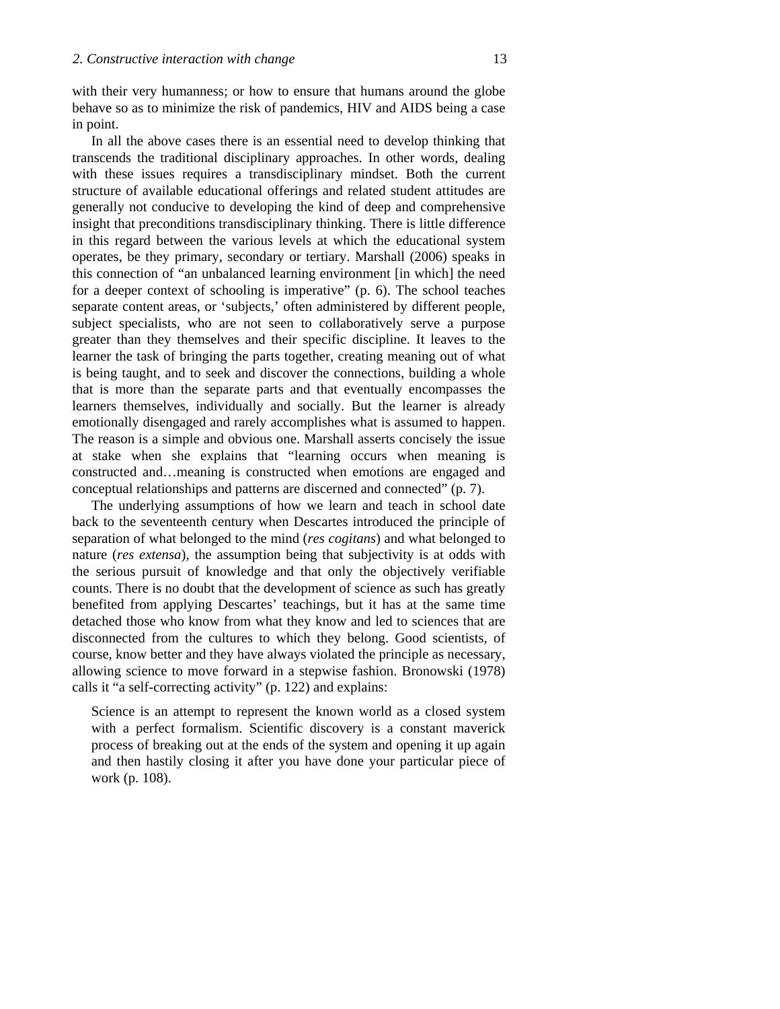with their very humanness; or how to ensure that humans around the globe behave so as to minimize the risk of pandemics, HIV and AIDS being a case in point.

In all the above cases there is an essential need to develop thinking that transcends the traditional disciplinary approaches. In other words, dealing with these issues requires a transdisciplinary mindset. Both the current structure of available educational offerings and related student attitudes are generally not conducive to developing the kind of deep and comprehensive insight that preconditions transdisciplinary thinking. There is little difference in this regard between the various levels at which the educational system operates, be they primary, secondary or tertiary. Marshall (2006) speaks in this connection of "an unbalanced learning environment [in which] the need for a deeper context of schooling is imperative" (p. 6). The school teaches separate content areas, or 'subjects,' often administered by different people, subject specialists, who are not seen to collaboratively serve a purpose greater than they themselves and their specific discipline. It leaves to the learner the task of bringing the parts together, creating meaning out of what is being taught, and to seek and discover the connections, building a whole that is more than the separate parts and that eventually encompasses the learners themselves, individually and socially. But the learner is already emotionally disengaged and rarely accomplishes what is assumed to happen. The reason is a simple and obvious one. Marshall asserts concisely the issue at stake when she explains that "learning occurs when meaning is constructed and…meaning is constructed when emotions are engaged and conceptual relationships and patterns are discerned and connected" (p. 7).

The underlying assumptions of how we learn and teach in school date back to the seventeenth century when Descartes introduced the principle of separation of what belonged to the mind (*res cogitans*) and what belonged to nature (*res extensa*), the assumption being that subjectivity is at odds with the serious pursuit of knowledge and that only the objectively verifiable counts. There is no doubt that the development of science as such has greatly benefited from applying Descartes' teachings, but it has at the same time detached those who know from what they know and led to sciences that are disconnected from the cultures to which they belong. Good scientists, of course, know better and they have always violated the principle as necessary, allowing science to move forward in a stepwise fashion. Bronowski (1978) calls it "a self-correcting activity" (p. 122) and explains:

Science is an attempt to represent the known world as a closed system with a perfect formalism. Scientific discovery is a constant maverick process of breaking out at the ends of the system and opening it up again and then hastily closing it after you have done your particular piece of work (p. 108).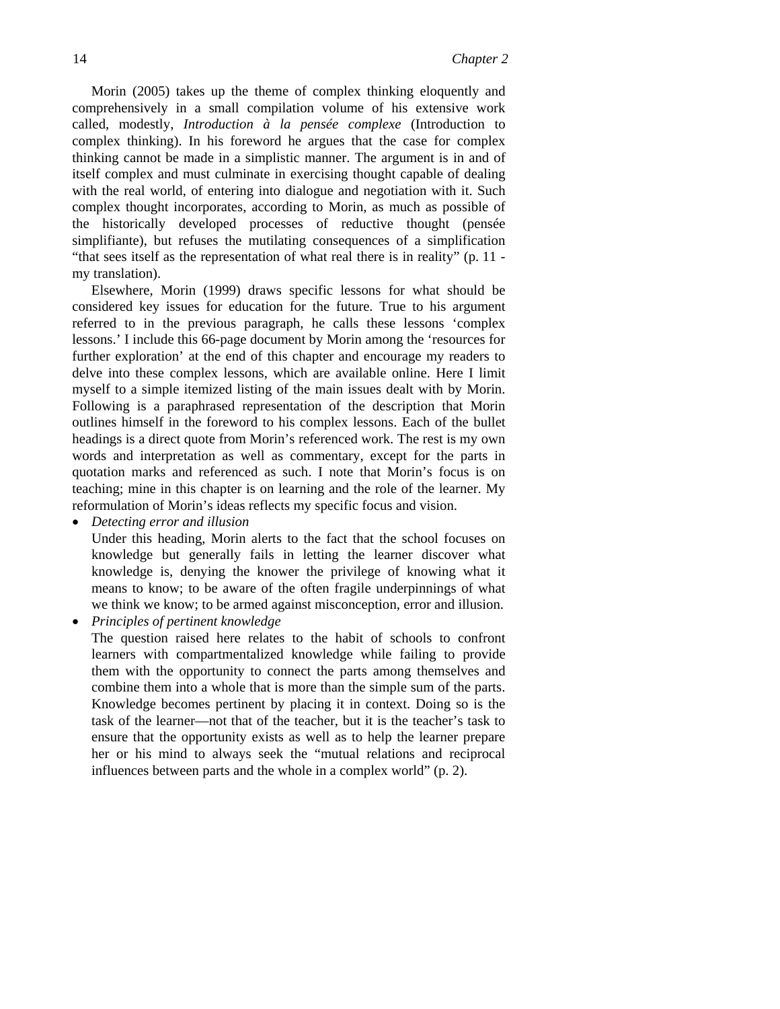Morin (2005) takes up the theme of complex thinking eloquently and comprehensively in a small compilation volume of his extensive work called, modestly, *Introduction à la pensée complexe* (Introduction to complex thinking). In his foreword he argues that the case for complex thinking cannot be made in a simplistic manner. The argument is in and of itself complex and must culminate in exercising thought capable of dealing with the real world, of entering into dialogue and negotiation with it. Such complex thought incorporates, according to Morin, as much as possible of the historically developed processes of reductive thought (pensée simplifiante), but refuses the mutilating consequences of a simplification "that sees itself as the representation of what real there is in reality" (p. 11 my translation).

Elsewhere, Morin (1999) draws specific lessons for what should be considered key issues for education for the future. True to his argument referred to in the previous paragraph, he calls these lessons 'complex lessons.' I include this 66-page document by Morin among the 'resources for further exploration' at the end of this chapter and encourage my readers to delve into these complex lessons, which are available online. Here I limit myself to a simple itemized listing of the main issues dealt with by Morin. Following is a paraphrased representation of the description that Morin outlines himself in the foreword to his complex lessons. Each of the bullet headings is a direct quote from Morin's referenced work. The rest is my own words and interpretation as well as commentary, except for the parts in quotation marks and referenced as such. I note that Morin's focus is on teaching; mine in this chapter is on learning and the role of the learner. My reformulation of Morin's ideas reflects my specific focus and vision.

• *Detecting error and illusion* 

Under this heading, Morin alerts to the fact that the school focuses on knowledge but generally fails in letting the learner discover what knowledge is, denying the knower the privilege of knowing what it means to know; to be aware of the often fragile underpinnings of what we think we know; to be armed against misconception, error and illusion.

• *Principles of pertinent knowledge* 

The question raised here relates to the habit of schools to confront learners with compartmentalized knowledge while failing to provide them with the opportunity to connect the parts among themselves and combine them into a whole that is more than the simple sum of the parts. Knowledge becomes pertinent by placing it in context. Doing so is the task of the learner—not that of the teacher, but it is the teacher's task to ensure that the opportunity exists as well as to help the learner prepare her or his mind to always seek the "mutual relations and reciprocal influences between parts and the whole in a complex world" (p. 2).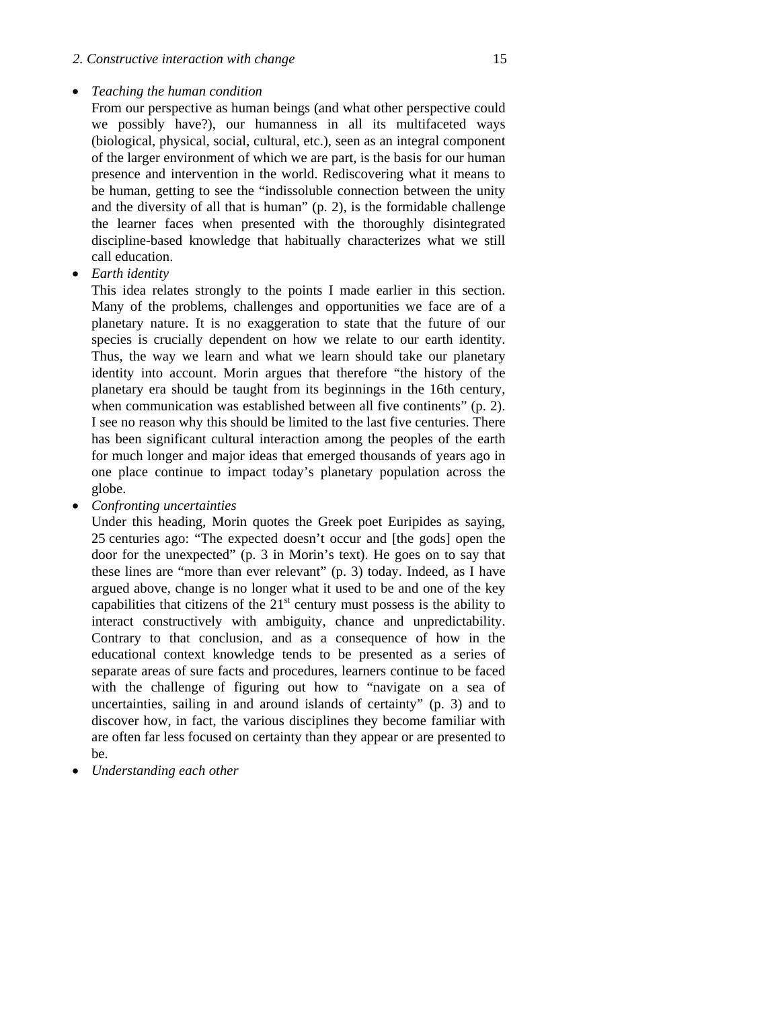#### *2. Constructive interaction with change* 15

#### • *Teaching the human condition*

From our perspective as human beings (and what other perspective could we possibly have?), our humanness in all its multifaceted ways (biological, physical, social, cultural, etc.), seen as an integral component of the larger environment of which we are part, is the basis for our human presence and intervention in the world. Rediscovering what it means to be human, getting to see the "indissoluble connection between the unity and the diversity of all that is human" (p. 2), is the formidable challenge the learner faces when presented with the thoroughly disintegrated discipline-based knowledge that habitually characterizes what we still call education.

• *Earth identity* 

This idea relates strongly to the points I made earlier in this section. Many of the problems, challenges and opportunities we face are of a planetary nature. It is no exaggeration to state that the future of our species is crucially dependent on how we relate to our earth identity. Thus, the way we learn and what we learn should take our planetary identity into account. Morin argues that therefore "the history of the planetary era should be taught from its beginnings in the 16th century, when communication was established between all five continents" (p. 2). I see no reason why this should be limited to the last five centuries. There has been significant cultural interaction among the peoples of the earth for much longer and major ideas that emerged thousands of years ago in one place continue to impact today's planetary population across the globe.

• *Confronting uncertainties* 

Under this heading, Morin quotes the Greek poet Euripides as saying, 25 centuries ago: "The expected doesn't occur and [the gods] open the door for the unexpected" (p. 3 in Morin's text). He goes on to say that these lines are "more than ever relevant" (p. 3) today. Indeed, as I have argued above, change is no longer what it used to be and one of the key capabilities that citizens of the  $21<sup>st</sup>$  century must possess is the ability to interact constructively with ambiguity, chance and unpredictability. Contrary to that conclusion, and as a consequence of how in the educational context knowledge tends to be presented as a series of separate areas of sure facts and procedures, learners continue to be faced with the challenge of figuring out how to "navigate on a sea of uncertainties, sailing in and around islands of certainty" (p. 3) and to discover how, in fact, the various disciplines they become familiar with are often far less focused on certainty than they appear or are presented to be.

• *Understanding each other*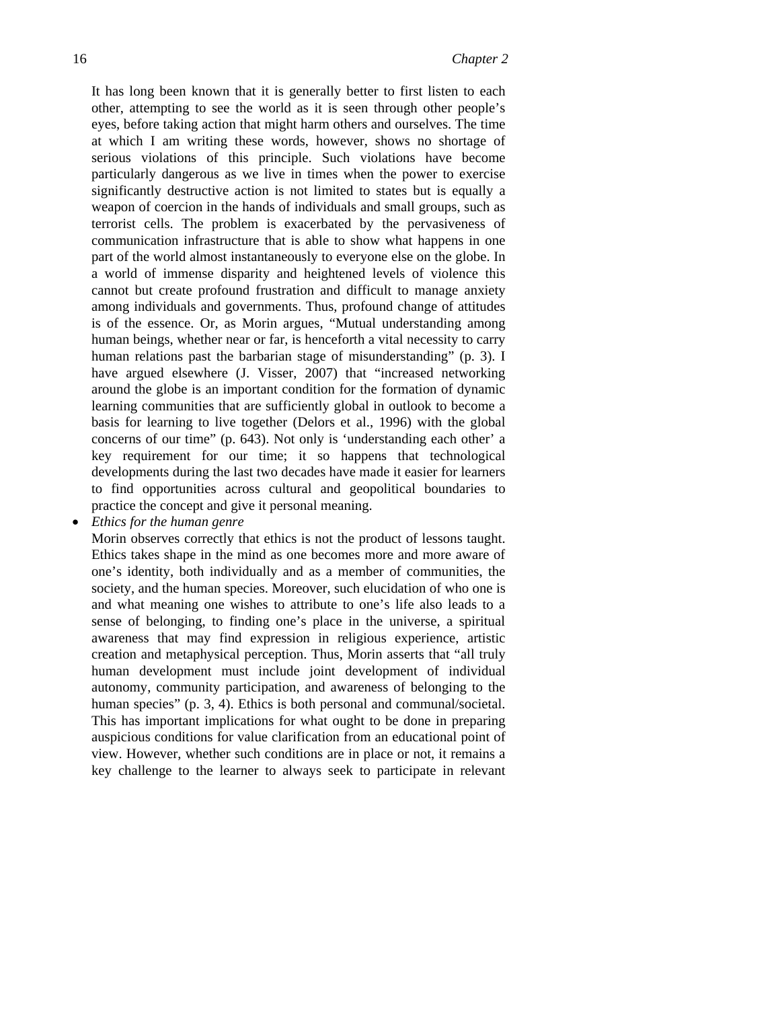It has long been known that it is generally better to first listen to each other, attempting to see the world as it is seen through other people's eyes, before taking action that might harm others and ourselves. The time at which I am writing these words, however, shows no shortage of serious violations of this principle. Such violations have become particularly dangerous as we live in times when the power to exercise significantly destructive action is not limited to states but is equally a weapon of coercion in the hands of individuals and small groups, such as terrorist cells. The problem is exacerbated by the pervasiveness of communication infrastructure that is able to show what happens in one part of the world almost instantaneously to everyone else on the globe. In a world of immense disparity and heightened levels of violence this cannot but create profound frustration and difficult to manage anxiety among individuals and governments. Thus, profound change of attitudes is of the essence. Or, as Morin argues, "Mutual understanding among human beings, whether near or far, is henceforth a vital necessity to carry human relations past the barbarian stage of misunderstanding" (p. 3). I have argued elsewhere (J. Visser, 2007) that "increased networking around the globe is an important condition for the formation of dynamic learning communities that are sufficiently global in outlook to become a basis for learning to live together (Delors et al., 1996) with the global concerns of our time" (p. 643). Not only is 'understanding each other' a key requirement for our time; it so happens that technological developments during the last two decades have made it easier for learners to find opportunities across cultural and geopolitical boundaries to practice the concept and give it personal meaning.

• *Ethics for the human genre* 

Morin observes correctly that ethics is not the product of lessons taught. Ethics takes shape in the mind as one becomes more and more aware of one's identity, both individually and as a member of communities, the society, and the human species. Moreover, such elucidation of who one is and what meaning one wishes to attribute to one's life also leads to a sense of belonging, to finding one's place in the universe, a spiritual awareness that may find expression in religious experience, artistic creation and metaphysical perception. Thus, Morin asserts that "all truly human development must include joint development of individual autonomy, community participation, and awareness of belonging to the human species" (p. 3, 4). Ethics is both personal and communal/societal. This has important implications for what ought to be done in preparing auspicious conditions for value clarification from an educational point of view. However, whether such conditions are in place or not, it remains a key challenge to the learner to always seek to participate in relevant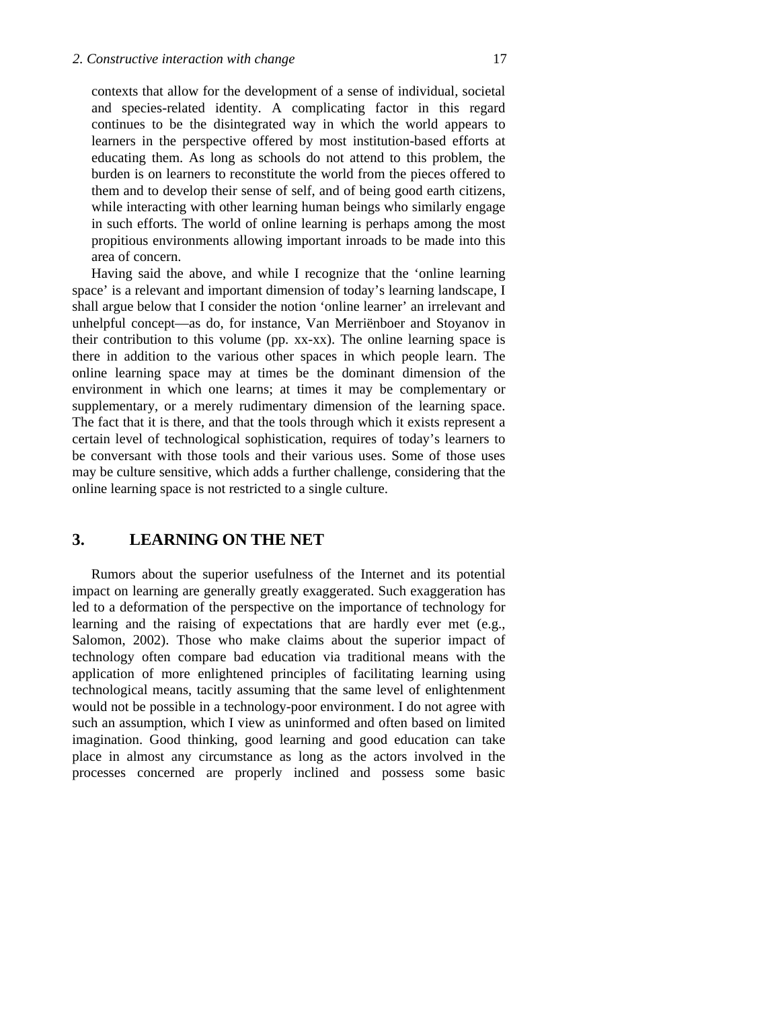contexts that allow for the development of a sense of individual, societal and species-related identity. A complicating factor in this regard continues to be the disintegrated way in which the world appears to learners in the perspective offered by most institution-based efforts at educating them. As long as schools do not attend to this problem, the burden is on learners to reconstitute the world from the pieces offered to them and to develop their sense of self, and of being good earth citizens, while interacting with other learning human beings who similarly engage in such efforts. The world of online learning is perhaps among the most propitious environments allowing important inroads to be made into this area of concern.

Having said the above, and while I recognize that the 'online learning space' is a relevant and important dimension of today's learning landscape, I shall argue below that I consider the notion 'online learner' an irrelevant and unhelpful concept—as do, for instance, Van Merriënboer and Stoyanov in their contribution to this volume (pp. xx-xx). The online learning space is there in addition to the various other spaces in which people learn. The online learning space may at times be the dominant dimension of the environment in which one learns; at times it may be complementary or supplementary, or a merely rudimentary dimension of the learning space. The fact that it is there, and that the tools through which it exists represent a certain level of technological sophistication, requires of today's learners to be conversant with those tools and their various uses. Some of those uses may be culture sensitive, which adds a further challenge, considering that the online learning space is not restricted to a single culture.

## **3. LEARNING ON THE NET**

Rumors about the superior usefulness of the Internet and its potential impact on learning are generally greatly exaggerated. Such exaggeration has led to a deformation of the perspective on the importance of technology for learning and the raising of expectations that are hardly ever met (e.g., Salomon, 2002). Those who make claims about the superior impact of technology often compare bad education via traditional means with the application of more enlightened principles of facilitating learning using technological means, tacitly assuming that the same level of enlightenment would not be possible in a technology-poor environment. I do not agree with such an assumption, which I view as uninformed and often based on limited imagination. Good thinking, good learning and good education can take place in almost any circumstance as long as the actors involved in the processes concerned are properly inclined and possess some basic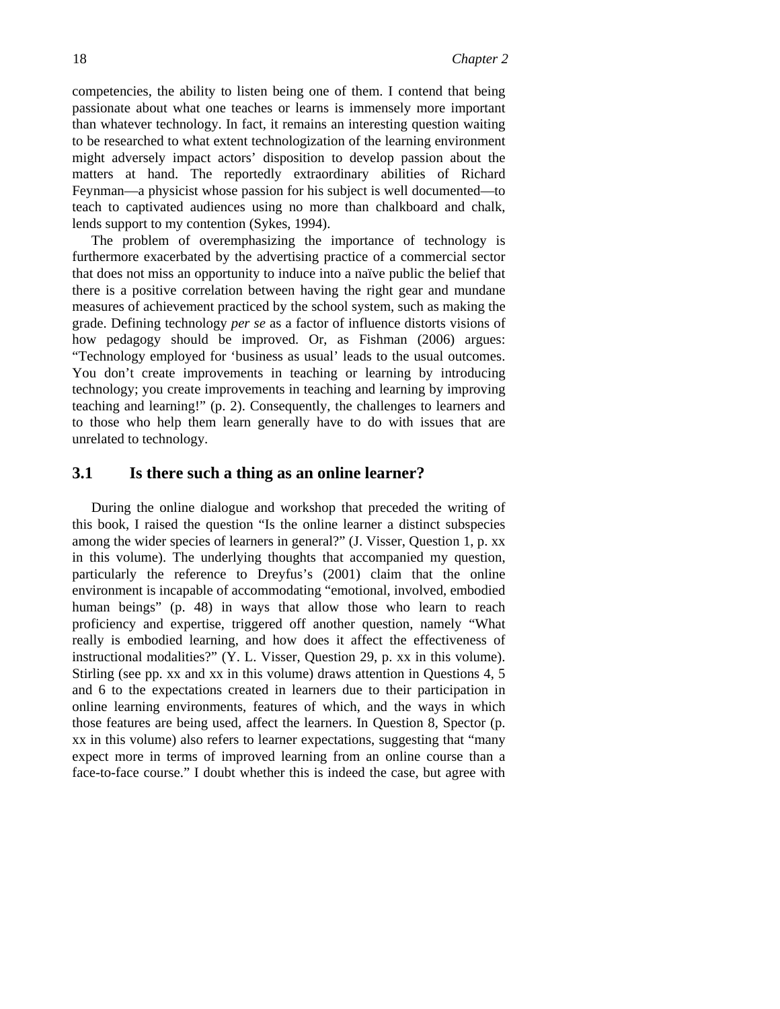competencies, the ability to listen being one of them. I contend that being passionate about what one teaches or learns is immensely more important than whatever technology. In fact, it remains an interesting question waiting to be researched to what extent technologization of the learning environment might adversely impact actors' disposition to develop passion about the matters at hand. The reportedly extraordinary abilities of Richard Feynman—a physicist whose passion for his subject is well documented—to teach to captivated audiences using no more than chalkboard and chalk, lends support to my contention (Sykes, 1994).

The problem of overemphasizing the importance of technology is furthermore exacerbated by the advertising practice of a commercial sector that does not miss an opportunity to induce into a naïve public the belief that there is a positive correlation between having the right gear and mundane measures of achievement practiced by the school system, such as making the grade. Defining technology *per se* as a factor of influence distorts visions of how pedagogy should be improved. Or, as Fishman (2006) argues: "Technology employed for 'business as usual' leads to the usual outcomes. You don't create improvements in teaching or learning by introducing technology; you create improvements in teaching and learning by improving teaching and learning!" (p. 2). Consequently, the challenges to learners and to those who help them learn generally have to do with issues that are unrelated to technology.

# **3.1 Is there such a thing as an online learner?**

During the online dialogue and workshop that preceded the writing of this book, I raised the question "Is the online learner a distinct subspecies among the wider species of learners in general?" (J. Visser, Question 1, p. xx in this volume). The underlying thoughts that accompanied my question, particularly the reference to Dreyfus's (2001) claim that the online environment is incapable of accommodating "emotional, involved, embodied human beings" (p. 48) in ways that allow those who learn to reach proficiency and expertise, triggered off another question, namely "What really is embodied learning, and how does it affect the effectiveness of instructional modalities?" (Y. L. Visser, Question 29, p. xx in this volume). Stirling (see pp. xx and xx in this volume) draws attention in Questions 4, 5 and 6 to the expectations created in learners due to their participation in online learning environments, features of which, and the ways in which those features are being used, affect the learners. In Question 8, Spector (p. xx in this volume) also refers to learner expectations, suggesting that "many expect more in terms of improved learning from an online course than a face-to-face course." I doubt whether this is indeed the case, but agree with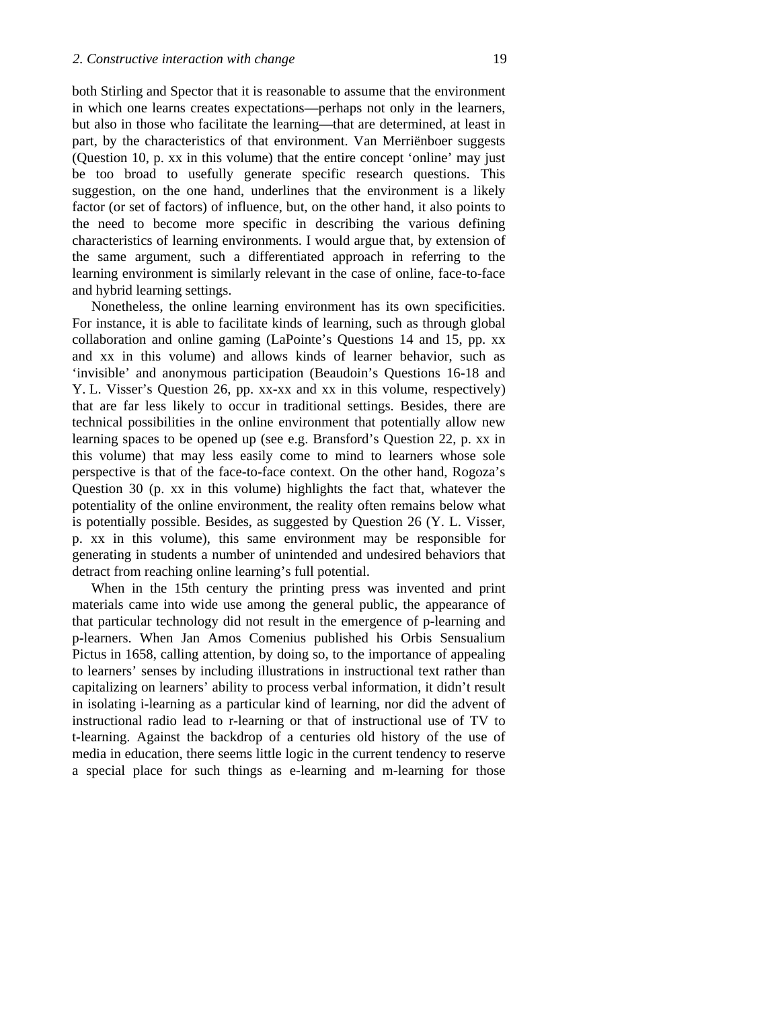both Stirling and Spector that it is reasonable to assume that the environment in which one learns creates expectations—perhaps not only in the learners, but also in those who facilitate the learning—that are determined, at least in part, by the characteristics of that environment. Van Merriënboer suggests (Question 10, p. xx in this volume) that the entire concept 'online' may just be too broad to usefully generate specific research questions. This suggestion, on the one hand, underlines that the environment is a likely factor (or set of factors) of influence, but, on the other hand, it also points to the need to become more specific in describing the various defining characteristics of learning environments. I would argue that, by extension of the same argument, such a differentiated approach in referring to the learning environment is similarly relevant in the case of online, face-to-face and hybrid learning settings.

Nonetheless, the online learning environment has its own specificities. For instance, it is able to facilitate kinds of learning, such as through global collaboration and online gaming (LaPointe's Questions 14 and 15, pp. xx and xx in this volume) and allows kinds of learner behavior, such as 'invisible' and anonymous participation (Beaudoin's Questions 16-18 and Y. L. Visser's Question 26, pp. xx-xx and xx in this volume, respectively) that are far less likely to occur in traditional settings. Besides, there are technical possibilities in the online environment that potentially allow new learning spaces to be opened up (see e.g. Bransford's Question 22, p. xx in this volume) that may less easily come to mind to learners whose sole perspective is that of the face-to-face context. On the other hand, Rogoza's Question 30 (p. xx in this volume) highlights the fact that, whatever the potentiality of the online environment, the reality often remains below what is potentially possible. Besides, as suggested by Question 26 (Y. L. Visser, p. xx in this volume), this same environment may be responsible for generating in students a number of unintended and undesired behaviors that detract from reaching online learning's full potential.

When in the 15th century the printing press was invented and print materials came into wide use among the general public, the appearance of that particular technology did not result in the emergence of p-learning and p-learners. When Jan Amos Comenius published his Orbis Sensualium Pictus in 1658, calling attention, by doing so, to the importance of appealing to learners' senses by including illustrations in instructional text rather than capitalizing on learners' ability to process verbal information, it didn't result in isolating i-learning as a particular kind of learning, nor did the advent of instructional radio lead to r-learning or that of instructional use of TV to t-learning. Against the backdrop of a centuries old history of the use of media in education, there seems little logic in the current tendency to reserve a special place for such things as e-learning and m-learning for those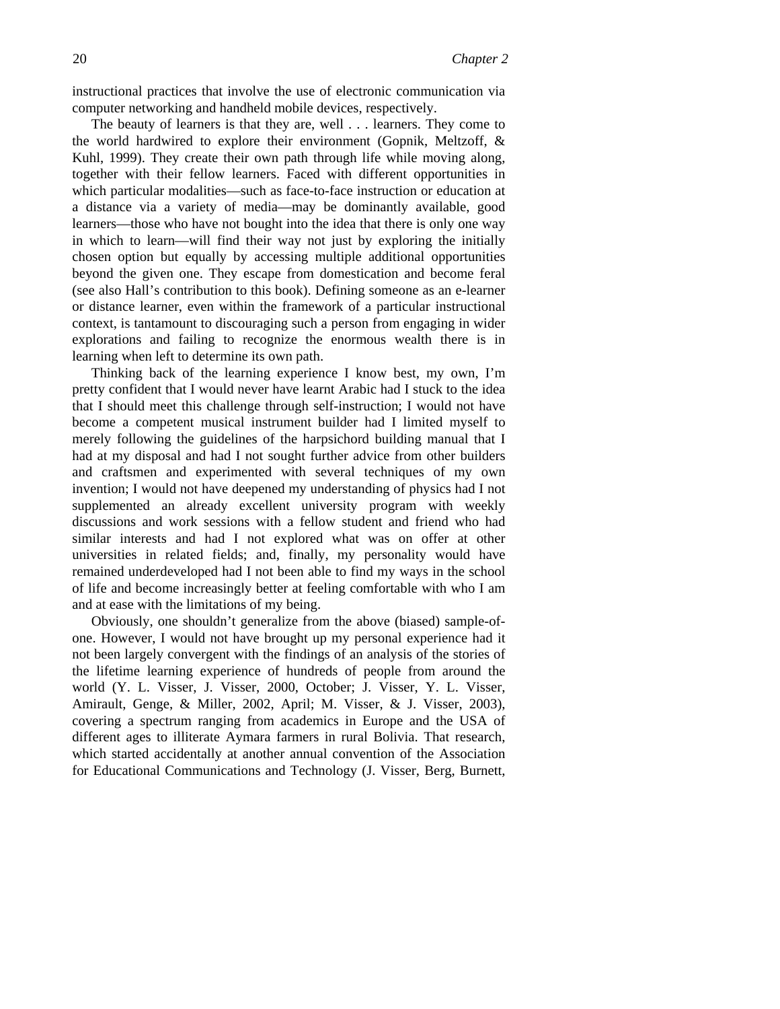instructional practices that involve the use of electronic communication via computer networking and handheld mobile devices, respectively.

The beauty of learners is that they are, well . . . learners. They come to the world hardwired to explore their environment (Gopnik, Meltzoff, & Kuhl, 1999). They create their own path through life while moving along, together with their fellow learners. Faced with different opportunities in which particular modalities—such as face-to-face instruction or education at a distance via a variety of media—may be dominantly available, good learners—those who have not bought into the idea that there is only one way in which to learn—will find their way not just by exploring the initially chosen option but equally by accessing multiple additional opportunities beyond the given one. They escape from domestication and become feral (see also Hall's contribution to this book). Defining someone as an e-learner or distance learner, even within the framework of a particular instructional context, is tantamount to discouraging such a person from engaging in wider explorations and failing to recognize the enormous wealth there is in learning when left to determine its own path.

Thinking back of the learning experience I know best, my own, I'm pretty confident that I would never have learnt Arabic had I stuck to the idea that I should meet this challenge through self-instruction; I would not have become a competent musical instrument builder had I limited myself to merely following the guidelines of the harpsichord building manual that I had at my disposal and had I not sought further advice from other builders and craftsmen and experimented with several techniques of my own invention; I would not have deepened my understanding of physics had I not supplemented an already excellent university program with weekly discussions and work sessions with a fellow student and friend who had similar interests and had I not explored what was on offer at other universities in related fields; and, finally, my personality would have remained underdeveloped had I not been able to find my ways in the school of life and become increasingly better at feeling comfortable with who I am and at ease with the limitations of my being.

Obviously, one shouldn't generalize from the above (biased) sample-ofone. However, I would not have brought up my personal experience had it not been largely convergent with the findings of an analysis of the stories of the lifetime learning experience of hundreds of people from around the world (Y. L. Visser, J. Visser, 2000, October; J. Visser, Y. L. Visser, Amirault, Genge, & Miller, 2002, April; M. Visser, & J. Visser, 2003), covering a spectrum ranging from academics in Europe and the USA of different ages to illiterate Aymara farmers in rural Bolivia. That research, which started accidentally at another annual convention of the Association for Educational Communications and Technology (J. Visser, Berg, Burnett,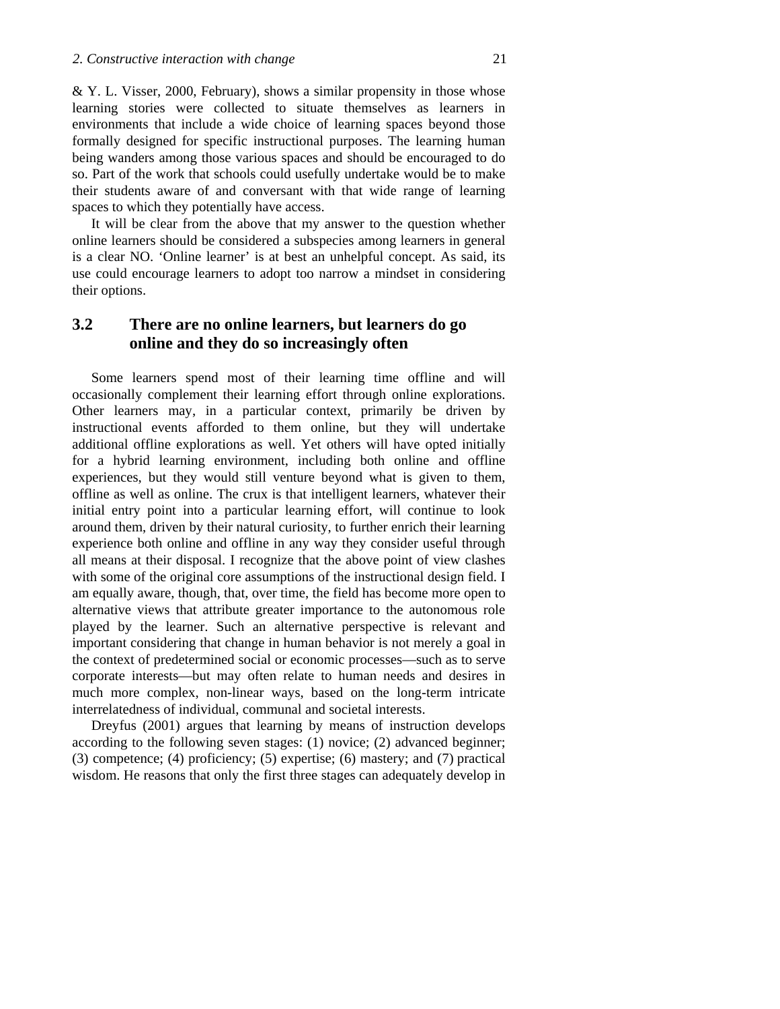& Y. L. Visser, 2000, February), shows a similar propensity in those whose learning stories were collected to situate themselves as learners in environments that include a wide choice of learning spaces beyond those formally designed for specific instructional purposes. The learning human being wanders among those various spaces and should be encouraged to do so. Part of the work that schools could usefully undertake would be to make their students aware of and conversant with that wide range of learning spaces to which they potentially have access.

It will be clear from the above that my answer to the question whether online learners should be considered a subspecies among learners in general is a clear NO. 'Online learner' is at best an unhelpful concept. As said, its use could encourage learners to adopt too narrow a mindset in considering their options.

# **3.2 There are no online learners, but learners do go online and they do so increasingly often**

Some learners spend most of their learning time offline and will occasionally complement their learning effort through online explorations. Other learners may, in a particular context, primarily be driven by instructional events afforded to them online, but they will undertake additional offline explorations as well. Yet others will have opted initially for a hybrid learning environment, including both online and offline experiences, but they would still venture beyond what is given to them, offline as well as online. The crux is that intelligent learners, whatever their initial entry point into a particular learning effort, will continue to look around them, driven by their natural curiosity, to further enrich their learning experience both online and offline in any way they consider useful through all means at their disposal. I recognize that the above point of view clashes with some of the original core assumptions of the instructional design field. I am equally aware, though, that, over time, the field has become more open to alternative views that attribute greater importance to the autonomous role played by the learner. Such an alternative perspective is relevant and important considering that change in human behavior is not merely a goal in the context of predetermined social or economic processes—such as to serve corporate interests—but may often relate to human needs and desires in much more complex, non-linear ways, based on the long-term intricate interrelatedness of individual, communal and societal interests.

Dreyfus (2001) argues that learning by means of instruction develops according to the following seven stages: (1) novice; (2) advanced beginner; (3) competence; (4) proficiency; (5) expertise; (6) mastery; and (7) practical wisdom. He reasons that only the first three stages can adequately develop in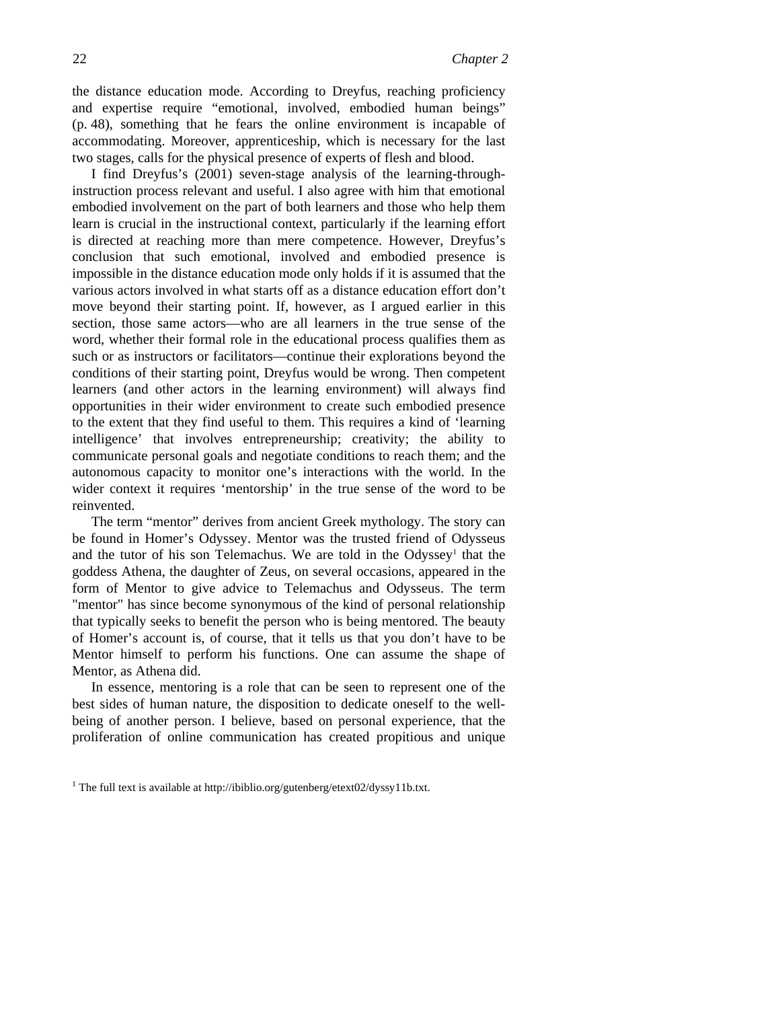the distance education mode. According to Dreyfus, reaching proficiency and expertise require "emotional, involved, embodied human beings" (p. 48), something that he fears the online environment is incapable of accommodating. Moreover, apprenticeship, which is necessary for the last two stages, calls for the physical presence of experts of flesh and blood.

I find Dreyfus's (2001) seven-stage analysis of the learning-throughinstruction process relevant and useful. I also agree with him that emotional embodied involvement on the part of both learners and those who help them learn is crucial in the instructional context, particularly if the learning effort is directed at reaching more than mere competence. However, Dreyfus's conclusion that such emotional, involved and embodied presence is impossible in the distance education mode only holds if it is assumed that the various actors involved in what starts off as a distance education effort don't move beyond their starting point. If, however, as I argued earlier in this section, those same actors—who are all learners in the true sense of the word, whether their formal role in the educational process qualifies them as such or as instructors or facilitators—continue their explorations beyond the conditions of their starting point, Dreyfus would be wrong. Then competent learners (and other actors in the learning environment) will always find opportunities in their wider environment to create such embodied presence to the extent that they find useful to them. This requires a kind of 'learning intelligence' that involves entrepreneurship; creativity; the ability to communicate personal goals and negotiate conditions to reach them; and the autonomous capacity to monitor one's interactions with the world. In the wider context it requires 'mentorship' in the true sense of the word to be reinvented.

The term "mentor" derives from ancient Greek mythology. The story can be found in Homer's Odyssey. Mentor was the trusted friend of Odysseus and the tutor of his son Telemachus. We are told in the Odyssey<sup>1</sup> that the goddess Athena, the daughter of Zeus, on several occasions, appeared in the form of Mentor to give advice to Telemachus and Odysseus. The term "mentor" has since become synonymous of the kind of personal relationship that typically seeks to benefit the person who is being mentored. The beauty of Homer's account is, of course, that it tells us that you don't have to be Mentor himself to perform his functions. One can assume the shape of Mentor, as Athena did.

In essence, mentoring is a role that can be seen to represent one of the best sides of human nature, the disposition to dedicate oneself to the wellbeing of another person. I believe, based on personal experience, that the proliferation of online communication has created propitious and unique

<sup>&</sup>lt;sup>1</sup> The full text is available at http://ibiblio.org/gutenberg/etext02/dyssy11b.txt.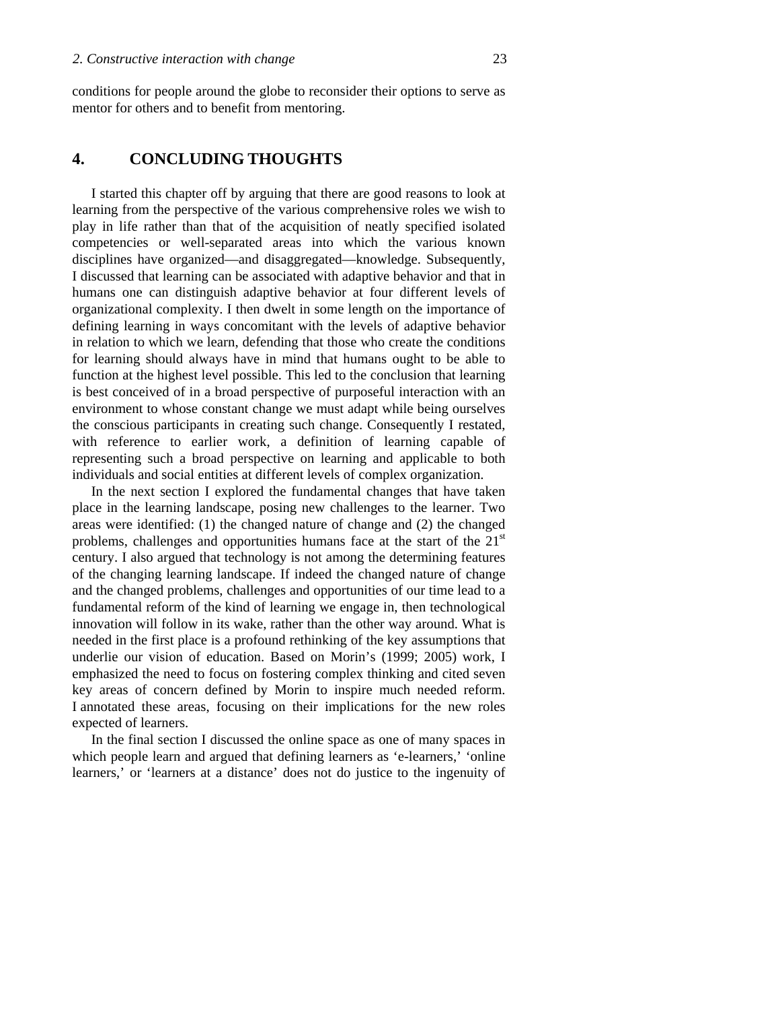conditions for people around the globe to reconsider their options to serve as mentor for others and to benefit from mentoring.

# **4. CONCLUDING THOUGHTS**

I started this chapter off by arguing that there are good reasons to look at learning from the perspective of the various comprehensive roles we wish to play in life rather than that of the acquisition of neatly specified isolated competencies or well-separated areas into which the various known disciplines have organized—and disaggregated—knowledge. Subsequently, I discussed that learning can be associated with adaptive behavior and that in humans one can distinguish adaptive behavior at four different levels of organizational complexity. I then dwelt in some length on the importance of defining learning in ways concomitant with the levels of adaptive behavior in relation to which we learn, defending that those who create the conditions for learning should always have in mind that humans ought to be able to function at the highest level possible. This led to the conclusion that learning is best conceived of in a broad perspective of purposeful interaction with an environment to whose constant change we must adapt while being ourselves the conscious participants in creating such change. Consequently I restated, with reference to earlier work, a definition of learning capable of representing such a broad perspective on learning and applicable to both individuals and social entities at different levels of complex organization.

In the next section I explored the fundamental changes that have taken place in the learning landscape, posing new challenges to the learner. Two areas were identified: (1) the changed nature of change and (2) the changed problems, challenges and opportunities humans face at the start of the  $21<sup>st</sup>$ century. I also argued that technology is not among the determining features of the changing learning landscape. If indeed the changed nature of change and the changed problems, challenges and opportunities of our time lead to a fundamental reform of the kind of learning we engage in, then technological innovation will follow in its wake, rather than the other way around. What is needed in the first place is a profound rethinking of the key assumptions that underlie our vision of education. Based on Morin's (1999; 2005) work, I emphasized the need to focus on fostering complex thinking and cited seven key areas of concern defined by Morin to inspire much needed reform. I annotated these areas, focusing on their implications for the new roles expected of learners.

In the final section I discussed the online space as one of many spaces in which people learn and argued that defining learners as 'e-learners,' 'online learners,' or 'learners at a distance' does not do justice to the ingenuity of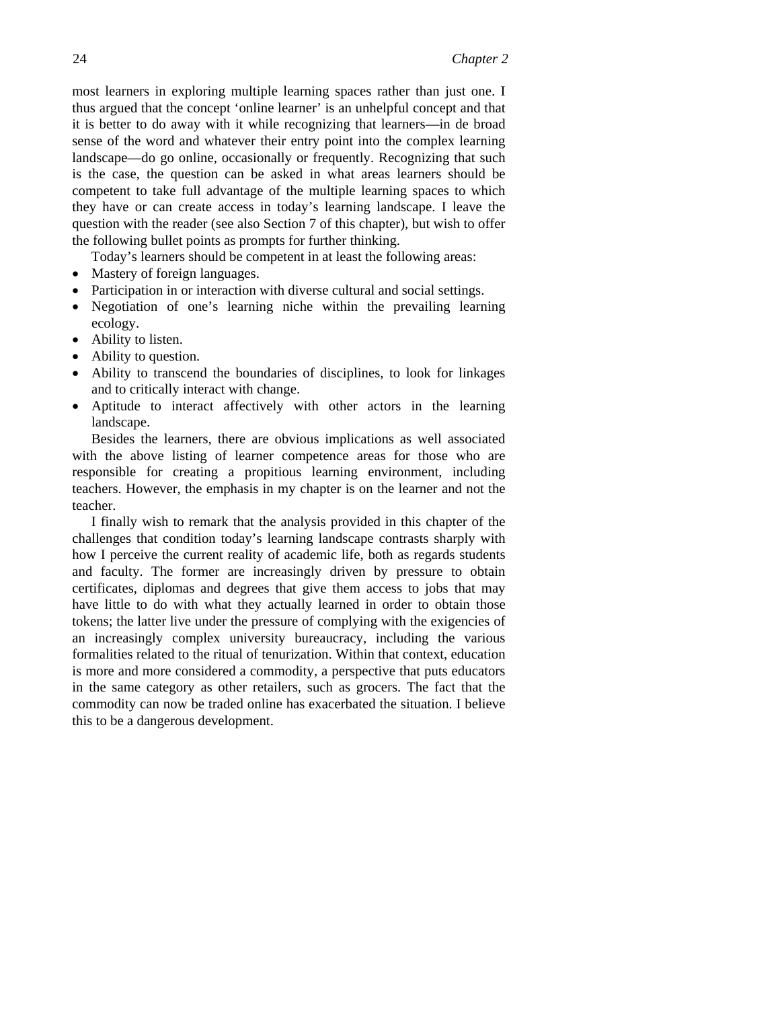most learners in exploring multiple learning spaces rather than just one. I thus argued that the concept 'online learner' is an unhelpful concept and that it is better to do away with it while recognizing that learners—in de broad sense of the word and whatever their entry point into the complex learning landscape—do go online, occasionally or frequently. Recognizing that such is the case, the question can be asked in what areas learners should be competent to take full advantage of the multiple learning spaces to which they have or can create access in today's learning landscape. I leave the question with the reader (see also Section 7 of this chapter), but wish to offer the following bullet points as prompts for further thinking.

Today's learners should be competent in at least the following areas:

- Mastery of foreign languages.
- Participation in or interaction with diverse cultural and social settings.
- Negotiation of one's learning niche within the prevailing learning ecology.
- Ability to listen.
- Ability to question.
- Ability to transcend the boundaries of disciplines, to look for linkages and to critically interact with change.
- Aptitude to interact affectively with other actors in the learning landscape.

Besides the learners, there are obvious implications as well associated with the above listing of learner competence areas for those who are responsible for creating a propitious learning environment, including teachers. However, the emphasis in my chapter is on the learner and not the teacher.

I finally wish to remark that the analysis provided in this chapter of the challenges that condition today's learning landscape contrasts sharply with how I perceive the current reality of academic life, both as regards students and faculty. The former are increasingly driven by pressure to obtain certificates, diplomas and degrees that give them access to jobs that may have little to do with what they actually learned in order to obtain those tokens; the latter live under the pressure of complying with the exigencies of an increasingly complex university bureaucracy, including the various formalities related to the ritual of tenurization. Within that context, education is more and more considered a commodity, a perspective that puts educators in the same category as other retailers, such as grocers. The fact that the commodity can now be traded online has exacerbated the situation. I believe this to be a dangerous development.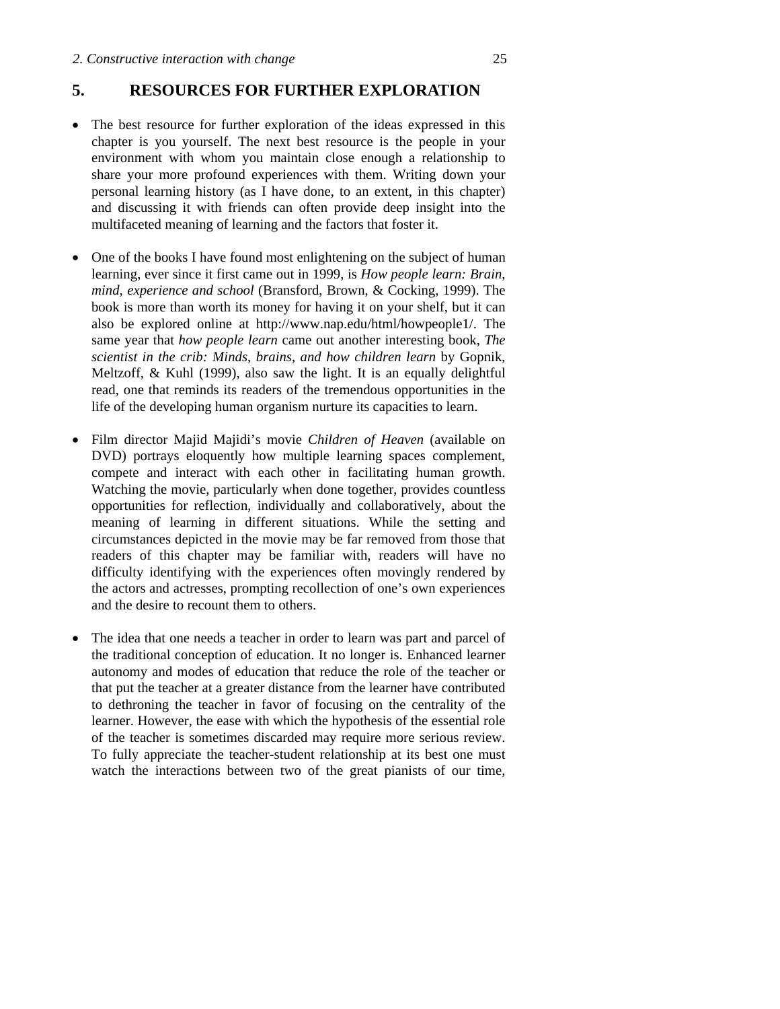#### **5. RESOURCES FOR FURTHER EXPLORATION**

- The best resource for further exploration of the ideas expressed in this chapter is you yourself. The next best resource is the people in your environment with whom you maintain close enough a relationship to share your more profound experiences with them. Writing down your personal learning history (as I have done, to an extent, in this chapter) and discussing it with friends can often provide deep insight into the multifaceted meaning of learning and the factors that foster it.
- One of the books I have found most enlightening on the subject of human learning, ever since it first came out in 1999, is *How people learn: Brain, mind, experience and school* (Bransford, Brown, & Cocking, 1999). The book is more than worth its money for having it on your shelf, but it can also be explored online at http://www.nap.edu/html/howpeople1/. The same year that *how people learn* came out another interesting book, *The scientist in the crib: Minds, brains, and how children learn* by Gopnik, Meltzoff, & Kuhl (1999), also saw the light. It is an equally delightful read, one that reminds its readers of the tremendous opportunities in the life of the developing human organism nurture its capacities to learn.
- Film director Majid Majidi's movie *Children of Heaven* (available on DVD) portrays eloquently how multiple learning spaces complement, compete and interact with each other in facilitating human growth. Watching the movie, particularly when done together, provides countless opportunities for reflection, individually and collaboratively, about the meaning of learning in different situations. While the setting and circumstances depicted in the movie may be far removed from those that readers of this chapter may be familiar with, readers will have no difficulty identifying with the experiences often movingly rendered by the actors and actresses, prompting recollection of one's own experiences and the desire to recount them to others.
- The idea that one needs a teacher in order to learn was part and parcel of the traditional conception of education. It no longer is. Enhanced learner autonomy and modes of education that reduce the role of the teacher or that put the teacher at a greater distance from the learner have contributed to dethroning the teacher in favor of focusing on the centrality of the learner. However, the ease with which the hypothesis of the essential role of the teacher is sometimes discarded may require more serious review. To fully appreciate the teacher-student relationship at its best one must watch the interactions between two of the great pianists of our time,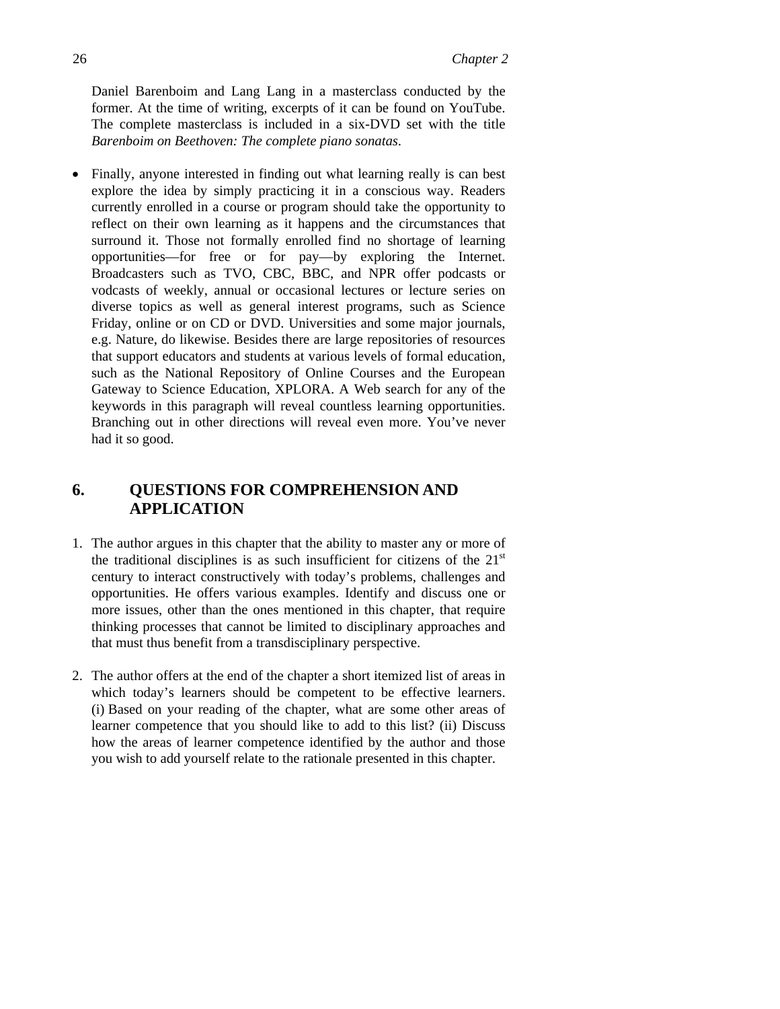Daniel Barenboim and Lang Lang in a masterclass conducted by the former. At the time of writing, excerpts of it can be found on YouTube. The complete masterclass is included in a six-DVD set with the title *Barenboim on Beethoven: The complete piano sonatas*.

• Finally, anyone interested in finding out what learning really is can best explore the idea by simply practicing it in a conscious way. Readers currently enrolled in a course or program should take the opportunity to reflect on their own learning as it happens and the circumstances that surround it. Those not formally enrolled find no shortage of learning opportunities—for free or for pay—by exploring the Internet. Broadcasters such as TVO, CBC, BBC, and NPR offer podcasts or vodcasts of weekly, annual or occasional lectures or lecture series on diverse topics as well as general interest programs, such as Science Friday, online or on CD or DVD. Universities and some major journals, e.g. Nature, do likewise. Besides there are large repositories of resources that support educators and students at various levels of formal education, such as the National Repository of Online Courses and the European Gateway to Science Education, XPLORA. A Web search for any of the keywords in this paragraph will reveal countless learning opportunities. Branching out in other directions will reveal even more. You've never had it so good.

# **6. QUESTIONS FOR COMPREHENSION AND APPLICATION**

- 1. The author argues in this chapter that the ability to master any or more of the traditional disciplines is as such insufficient for citizens of the  $21<sup>st</sup>$ century to interact constructively with today's problems, challenges and opportunities. He offers various examples. Identify and discuss one or more issues, other than the ones mentioned in this chapter, that require thinking processes that cannot be limited to disciplinary approaches and that must thus benefit from a transdisciplinary perspective.
- 2. The author offers at the end of the chapter a short itemized list of areas in which today's learners should be competent to be effective learners. (i) Based on your reading of the chapter, what are some other areas of learner competence that you should like to add to this list? (ii) Discuss how the areas of learner competence identified by the author and those you wish to add yourself relate to the rationale presented in this chapter.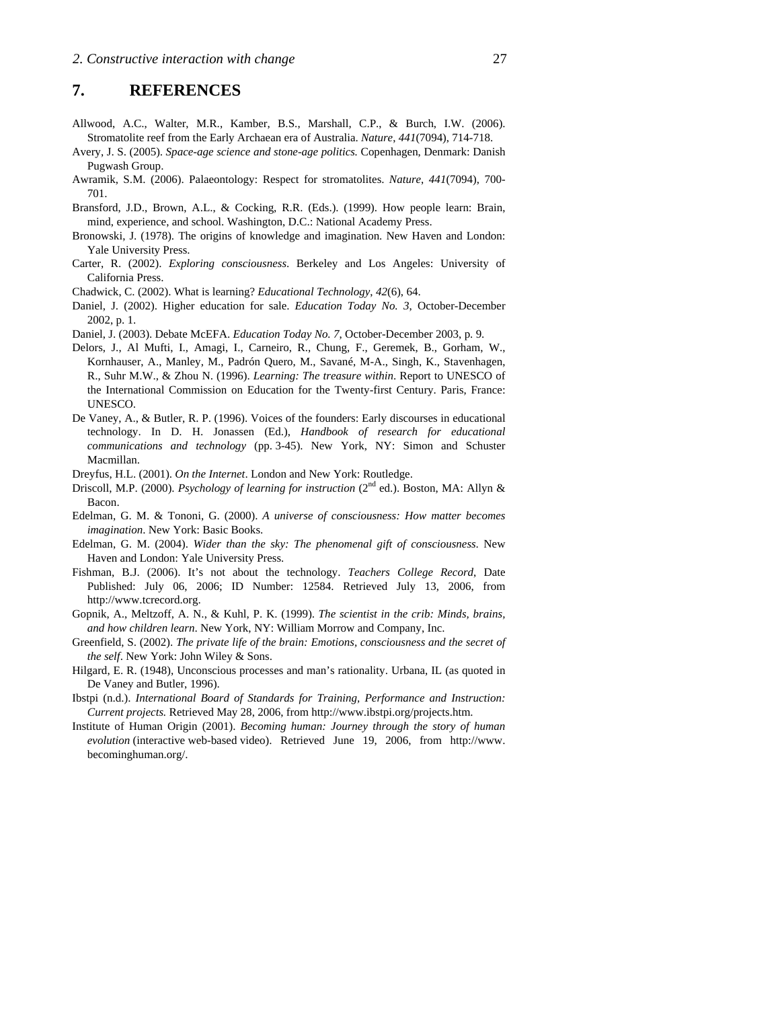#### **7. REFERENCES**

- Allwood, A.C., Walter, M.R., Kamber, B.S., Marshall, C.P., & Burch, I.W. (2006). Stromatolite reef from the Early Archaean era of Australia. *Nature*, *441*(7094), 714-718.
- Avery, J. S. (2005). *Space-age science and stone-age politics.* Copenhagen, Denmark: Danish Pugwash Group.
- Awramik, S.M. (2006). Palaeontology: Respect for stromatolites. *Nature*, *441*(7094), 700- 701.
- Bransford, J.D., Brown, A.L., & Cocking, R.R. (Eds.). (1999). How people learn: Brain, mind, experience, and school. Washington, D.C.: National Academy Press.
- Bronowski, J. (1978). The origins of knowledge and imagination. New Haven and London: Yale University Press.
- Carter, R. (2002). *Exploring consciousness*. Berkeley and Los Angeles: University of California Press.
- Chadwick, C. (2002). What is learning? *Educational Technology*, *42*(6), 64.
- Daniel, J. (2002). Higher education for sale. *Education Today No. 3*, October-December 2002, p. 1.
- Daniel, J. (2003). Debate McEFA. *Education Today No. 7*, October-December 2003, p. 9.
- Delors, J., Al Mufti, I., Amagi, I., Carneiro, R., Chung, F., Geremek, B., Gorham, W., Kornhauser, A., Manley, M., Padrón Quero, M., Savané, M-A., Singh, K., Stavenhagen, R., Suhr M.W., & Zhou N. (1996). *Learning: The treasure within*. Report to UNESCO of the International Commission on Education for the Twenty-first Century. Paris, France: UNESCO.
- De Vaney, A., & Butler, R. P. (1996). Voices of the founders: Early discourses in educational technology. In D. H. Jonassen (Ed.), *Handbook of research for educational communications and technology* (pp. 3-45). New York, NY: Simon and Schuster Macmillan.
- Dreyfus, H.L. (2001). *On the Internet*. London and New York: Routledge.
- Driscoll, M.P. (2000). *Psychology of learning for instruction* (2<sup>nd</sup> ed.). Boston, MA: Allyn & Bacon.
- Edelman, G. M. & Tononi, G. (2000). *A universe of consciousness: How matter becomes imagination*. New York: Basic Books.
- Edelman, G. M. (2004). *Wider than the sky: The phenomenal gift of consciousness*. New Haven and London: Yale University Press.
- Fishman, B.J. (2006). It's not about the technology. *Teachers College Record*, Date Published: July 06, 2006; ID Number: 12584. Retrieved July 13, 2006, from http://www.tcrecord.org.
- Gopnik, A., Meltzoff, A. N., & Kuhl, P. K. (1999). *The scientist in the crib: Minds, brains, and how children learn*. New York, NY: William Morrow and Company, Inc.
- Greenfield, S. (2002). *The private life of the brain: Emotions, consciousness and the secret of the self*. New York: John Wiley & Sons.
- Hilgard, E. R. (1948), Unconscious processes and man's rationality. Urbana, IL (as quoted in De Vaney and Butler, 1996).
- Ibstpi (n.d.). *International Board of Standards for Training, Performance and Instruction: Current projects.* Retrieved May 28, 2006, from http://www.ibstpi.org/projects.htm.
- Institute of Human Origin (2001). *Becoming human: Journey through the story of human evolution* (interactive web-based video). Retrieved June 19, 2006, from http://www. becominghuman.org/.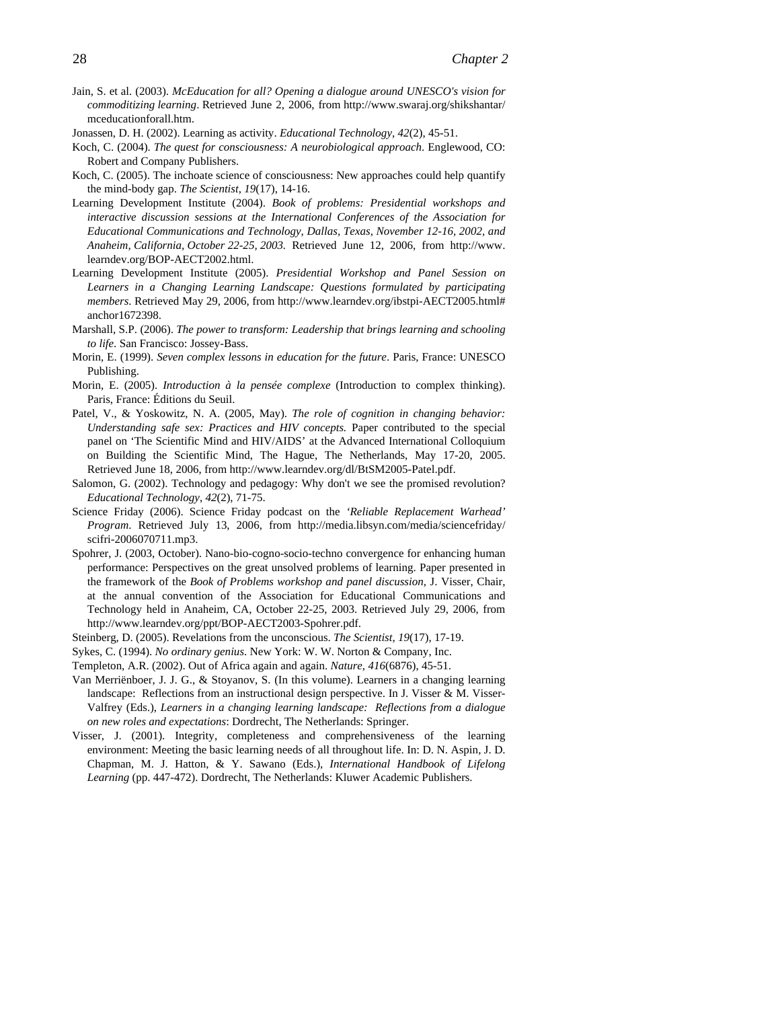- Jain, S. et al. (2003). *McEducation for all? Opening a dialogue around UNESCO's vision for commoditizing learning*. Retrieved June 2, 2006, from http://www.swaraj.org/shikshantar/ mceducationforall.htm.
- Jonassen, D. H. (2002). Learning as activity. *Educational Technology*, *42*(2), 45-51.
- Koch, C. (2004). *The quest for consciousness: A neurobiological approach*. Englewood, CO: Robert and Company Publishers.
- Koch, C. (2005). The inchoate science of consciousness: New approaches could help quantify the mind-body gap. *The Scientist*, *19*(17), 14-16.
- Learning Development Institute (2004). *Book of problems: Presidential workshops and interactive discussion sessions at the International Conferences of the Association for Educational Communications and Technology, Dallas, Texas, November 12-16, 2002, and Anaheim, California, October 22-25, 2003.* Retrieved June 12, 2006, from http://www. learndev.org/BOP-AECT2002.html.
- Learning Development Institute (2005). *Presidential Workshop and Panel Session on*  Learners in a Changing Learning Landscape: Questions formulated by participating *members*. Retrieved May 29, 2006, from http://www.learndev.org/ibstpi-AECT2005.html# anchor1672398.
- Marshall, S.P. (2006). *The power to transform: Leadership that brings learning and schooling to life*. San Francisco: Jossey-Bass.
- Morin, E. (1999). *Seven complex lessons in education for the future*. Paris, France: UNESCO Publishing.
- Morin, E. (2005). *Introduction à la pensée complexe* (Introduction to complex thinking). Paris, France: Éditions du Seuil.
- Patel, V., & Yoskowitz, N. A. (2005, May). *The role of cognition in changing behavior: Understanding safe sex: Practices and HIV concepts. Paper contributed to the special* panel on 'The Scientific Mind and HIV/AIDS' at the Advanced International Colloquium on Building the Scientific Mind, The Hague, The Netherlands, May 17-20, 2005. Retrieved June 18, 2006, from http://www.learndev.org/dl/BtSM2005-Patel.pdf.
- Salomon, G. (2002). Technology and pedagogy: Why don't we see the promised revolution? *Educational Technology*, *42*(2), 71-75.
- Science Friday (2006). Science Friday podcast on the *'Reliable Replacement Warhead' Program*. Retrieved July 13, 2006, from http://media.libsyn.com/media/sciencefriday/ scifri-2006070711.mp3.
- Spohrer, J. (2003, October). Nano-bio-cogno-socio-techno convergence for enhancing human performance: Perspectives on the great unsolved problems of learning. Paper presented in the framework of the *Book of Problems workshop and panel discussion*, J. Visser, Chair, at the annual convention of the Association for Educational Communications and Technology held in Anaheim, CA, October 22-25, 2003. Retrieved July 29, 2006, from http://www.learndev.org/ppt/BOP-AECT2003-Spohrer.pdf.
- Steinberg, D. (2005). Revelations from the unconscious. *The Scientist*, *19*(17), 17-19.
- Sykes, C. (1994). *No ordinary genius*. New York: W. W. Norton & Company, Inc.
- Templeton, A.R. (2002). Out of Africa again and again. *Nature*, *416*(6876), 45-51.
- Van Merriënboer, J. J. G., & Stoyanov, S. (In this volume). Learners in a changing learning landscape: Reflections from an instructional design perspective. In J. Visser & M. Visser-Valfrey (Eds.), *Learners in a changing learning landscape: Reflections from a dialogue on new roles and expectations*: Dordrecht, The Netherlands: Springer.
- Visser, J. (2001). Integrity, completeness and comprehensiveness of the learning environment: Meeting the basic learning needs of all throughout life. In: D. N. Aspin, J. D. Chapman, M. J. Hatton, & Y. Sawano (Eds.), *International Handbook of Lifelong Learning* (pp. 447-472). Dordrecht, The Netherlands: Kluwer Academic Publishers.